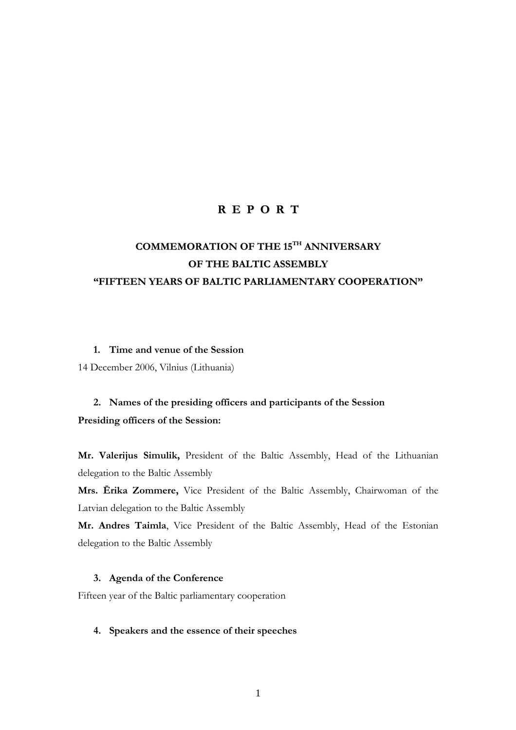# **R E P O R T**

# **COMMEMORATION OF THE 15TH ANNIVERSARY OF THE BALTIC ASSEMBLY "FIFTEEN YEARS OF BALTIC PARLIAMENTARY COOPERATION"**

### **1. Time and venue of the Session**

14 December 2006, Vilnius (Lithuania)

# **2. Names of the presiding officers and participants of the Session Presiding officers of the Session:**

**Mr. Valerijus Simulik,** President of the Baltic Assembly, Head of the Lithuanian delegation to the Baltic Assembly

**Mrs. Ērika Zommere,** Vice President of the Baltic Assembly, Chairwoman of the Latvian delegation to the Baltic Assembly

**Mr. Andres Taimla**, Vice President of the Baltic Assembly, Head of the Estonian delegation to the Baltic Assembly

# **3. Agenda of the Conference**

Fifteen year of the Baltic parliamentary cooperation

# **4. Speakers and the essence of their speeches**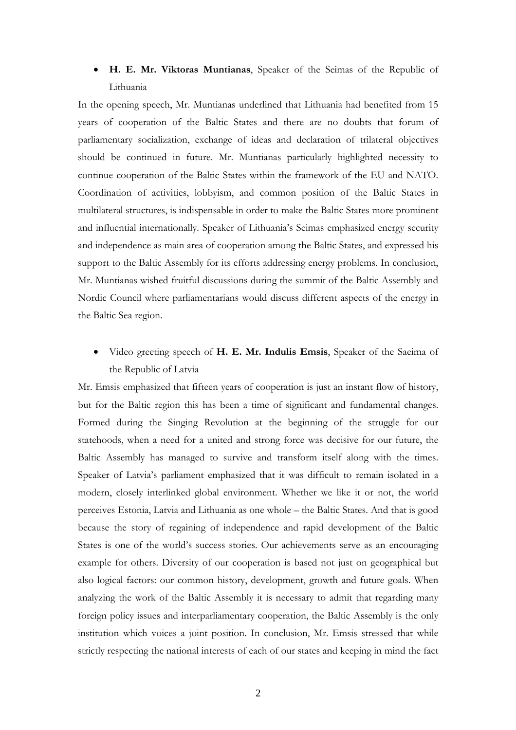# • **H. E. Mr. Viktoras Muntianas**, Speaker of the Seimas of the Republic of Lithuania

In the opening speech, Mr. Muntianas underlined that Lithuania had benefited from 15 years of cooperation of the Baltic States and there are no doubts that forum of parliamentary socialization, exchange of ideas and declaration of trilateral objectives should be continued in future. Mr. Muntianas particularly highlighted necessity to continue cooperation of the Baltic States within the framework of the EU and NATO. Coordination of activities, lobbyism, and common position of the Baltic States in multilateral structures, is indispensable in order to make the Baltic States more prominent and influential internationally. Speaker of Lithuania's Seimas emphasized energy security and independence as main area of cooperation among the Baltic States, and expressed his support to the Baltic Assembly for its efforts addressing energy problems. In conclusion, Mr. Muntianas wished fruitful discussions during the summit of the Baltic Assembly and Nordic Council where parliamentarians would discuss different aspects of the energy in the Baltic Sea region.

• Video greeting speech of **H. E. Mr. Indulis Emsis**, Speaker of the Saeima of the Republic of Latvia

Mr. Emsis emphasized that fifteen years of cooperation is just an instant flow of history, but for the Baltic region this has been a time of significant and fundamental changes. Formed during the Singing Revolution at the beginning of the struggle for our statehoods, when a need for a united and strong force was decisive for our future, the Baltic Assembly has managed to survive and transform itself along with the times. Speaker of Latvia's parliament emphasized that it was difficult to remain isolated in a modern, closely interlinked global environment. Whether we like it or not, the world perceives Estonia, Latvia and Lithuania as one whole – the Baltic States. And that is good because the story of regaining of independence and rapid development of the Baltic States is one of the world's success stories. Our achievements serve as an encouraging example for others. Diversity of our cooperation is based not just on geographical but also logical factors: our common history, development, growth and future goals. When analyzing the work of the Baltic Assembly it is necessary to admit that regarding many foreign policy issues and interparliamentary cooperation, the Baltic Assembly is the only institution which voices a joint position. In conclusion, Mr. Emsis stressed that while strictly respecting the national interests of each of our states and keeping in mind the fact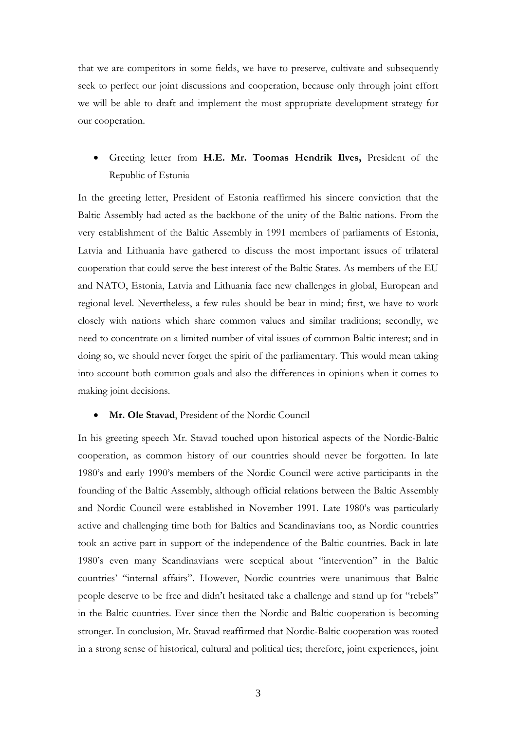that we are competitors in some fields, we have to preserve, cultivate and subsequently seek to perfect our joint discussions and cooperation, because only through joint effort we will be able to draft and implement the most appropriate development strategy for our cooperation.

# • Greeting letter from **H.E. Mr. Toomas Hendrik Ilves,** President of the Republic of Estonia

In the greeting letter, President of Estonia reaffirmed his sincere conviction that the Baltic Assembly had acted as the backbone of the unity of the Baltic nations. From the very establishment of the Baltic Assembly in 1991 members of parliaments of Estonia, Latvia and Lithuania have gathered to discuss the most important issues of trilateral cooperation that could serve the best interest of the Baltic States. As members of the EU and NATO, Estonia, Latvia and Lithuania face new challenges in global, European and regional level. Nevertheless, a few rules should be bear in mind; first, we have to work closely with nations which share common values and similar traditions; secondly, we need to concentrate on a limited number of vital issues of common Baltic interest; and in doing so, we should never forget the spirit of the parliamentary. This would mean taking into account both common goals and also the differences in opinions when it comes to making joint decisions.

### • **Mr. Ole Stavad**, President of the Nordic Council

In his greeting speech Mr. Stavad touched upon historical aspects of the Nordic-Baltic cooperation, as common history of our countries should never be forgotten. In late 1980's and early 1990's members of the Nordic Council were active participants in the founding of the Baltic Assembly, although official relations between the Baltic Assembly and Nordic Council were established in November 1991. Late 1980's was particularly active and challenging time both for Baltics and Scandinavians too, as Nordic countries took an active part in support of the independence of the Baltic countries. Back in late 1980's even many Scandinavians were sceptical about "intervention" in the Baltic countries' "internal affairs". However, Nordic countries were unanimous that Baltic people deserve to be free and didn't hesitated take a challenge and stand up for "rebels" in the Baltic countries. Ever since then the Nordic and Baltic cooperation is becoming stronger. In conclusion, Mr. Stavad reaffirmed that Nordic-Baltic cooperation was rooted in a strong sense of historical, cultural and political ties; therefore, joint experiences, joint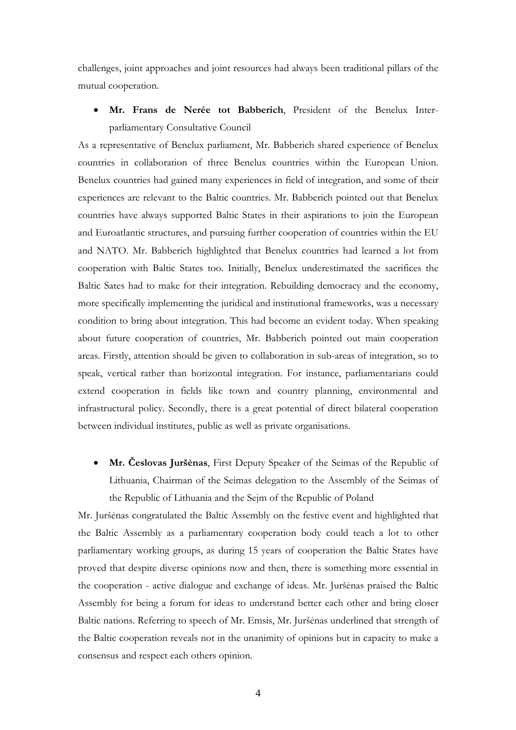challenges, joint approaches and joint resources had always been traditional pillars of the mutual cooperation.

• **Mr. Frans de Nerée tot Babberich**, President of the Benelux Interparliamentary Consultative Council

As a representative of Benelux parliament, Mr. Babberich shared experience of Benelux countries in collaboration of three Benelux countries within the European Union. Benelux countries had gained many experiences in field of integration, and some of their experiences are relevant to the Baltic countries. Mr. Babberich pointed out that Benelux countries have always supported Baltic States in their aspirations to join the European and Euroatlantic structures, and pursuing further cooperation of countries within the EU and NATO. Mr. Babberich highlighted that Benelux countries had learned a lot from cooperation with Baltic States too. Initially, Benelux underestimated the sacrifices the Baltic Sates had to make for their integration. Rebuilding democracy and the economy, more specifically implementing the juridical and institutional frameworks, was a necessary condition to bring about integration. This had become an evident today. When speaking about future cooperation of countries, Mr. Babberich pointed out main cooperation areas. Firstly, attention should be given to collaboration in sub-areas of integration, so to speak, vertical rather than horizontal integration. For instance, parliamentarians could extend cooperation in fields like town and country planning, environmental and infrastructural policy. Secondly, there is a great potential of direct bilateral cooperation between individual institutes, public as well as private organisations.

• **Mr. Česlovas Juršėnas**, First Deputy Speaker of the Seimas of the Republic of Lithuania, Chairman of the Seimas delegation to the Assembly of the Seimas of the Republic of Lithuania and the Sejm of the Republic of Poland

Mr. Juršėnas congratulated the Baltic Assembly on the festive event and highlighted that the Baltic Assembly as a parliamentary cooperation body could teach a lot to other parliamentary working groups, as during 15 years of cooperation the Baltic States have proved that despite diverse opinions now and then, there is something more essential in the cooperation - active dialogue and exchange of ideas. Mr. Juršėnas praised the Baltic Assembly for being a forum for ideas to understand better each other and bring closer Baltic nations. Referring to speech of Mr. Emsis, Mr. Juršėnas underlined that strength of the Baltic cooperation reveals not in the unanimity of opinions but in capacity to make a consensus and respect each others opinion.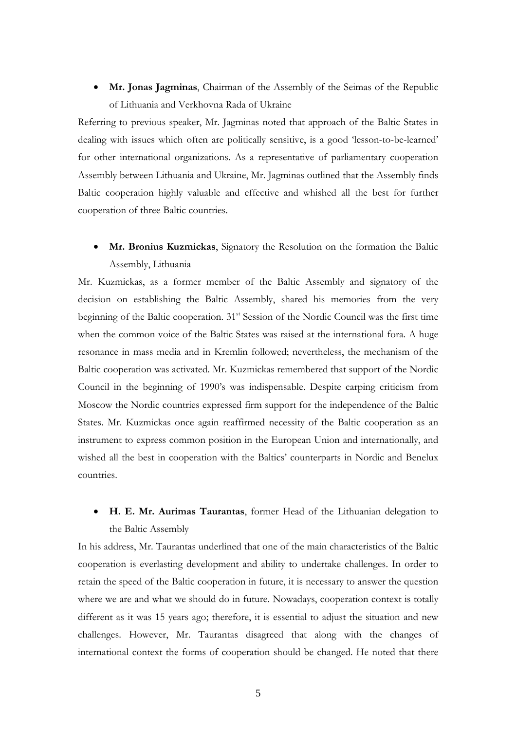• **Mr. Jonas Jagminas**, Chairman of the Assembly of the Seimas of the Republic of Lithuania and Verkhovna Rada of Ukraine

Referring to previous speaker, Mr. Jagminas noted that approach of the Baltic States in dealing with issues which often are politically sensitive, is a good 'lesson-to-be-learned' for other international organizations. As a representative of parliamentary cooperation Assembly between Lithuania and Ukraine, Mr. Jagminas outlined that the Assembly finds Baltic cooperation highly valuable and effective and whished all the best for further cooperation of three Baltic countries.

• **Mr. Bronius Kuzmickas**, Signatory the Resolution on the formation the Baltic Assembly, Lithuania

Mr. Kuzmickas, as a former member of the Baltic Assembly and signatory of the decision on establishing the Baltic Assembly, shared his memories from the very beginning of the Baltic cooperation.  $31<sup>st</sup>$  Session of the Nordic Council was the first time when the common voice of the Baltic States was raised at the international fora. A huge resonance in mass media and in Kremlin followed; nevertheless, the mechanism of the Baltic cooperation was activated. Mr. Kuzmickas remembered that support of the Nordic Council in the beginning of 1990's was indispensable. Despite carping criticism from Moscow the Nordic countries expressed firm support for the independence of the Baltic States. Mr. Kuzmickas once again reaffirmed necessity of the Baltic cooperation as an instrument to express common position in the European Union and internationally, and wished all the best in cooperation with the Baltics' counterparts in Nordic and Benelux countries.

• **H. E. Mr. Aurimas Taurantas**, former Head of the Lithuanian delegation to the Baltic Assembly

In his address, Mr. Taurantas underlined that one of the main characteristics of the Baltic cooperation is everlasting development and ability to undertake challenges. In order to retain the speed of the Baltic cooperation in future, it is necessary to answer the question where we are and what we should do in future. Nowadays, cooperation context is totally different as it was 15 years ago; therefore, it is essential to adjust the situation and new challenges. However, Mr. Taurantas disagreed that along with the changes of international context the forms of cooperation should be changed. He noted that there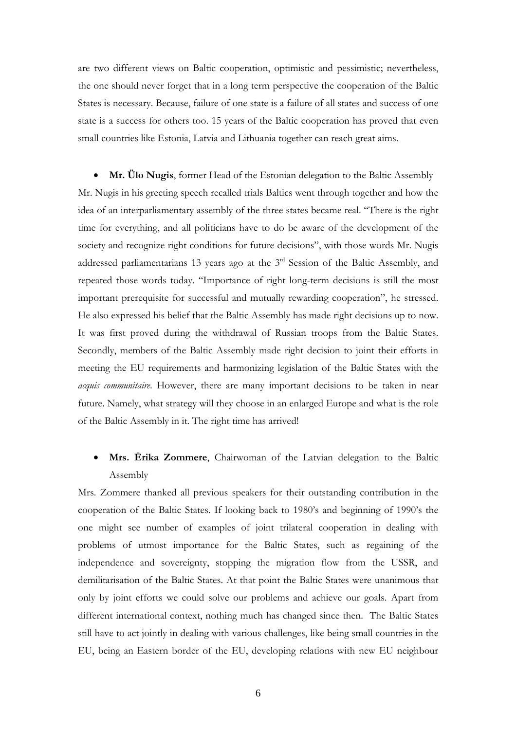are two different views on Baltic cooperation, optimistic and pessimistic; nevertheless, the one should never forget that in a long term perspective the cooperation of the Baltic States is necessary. Because, failure of one state is a failure of all states and success of one state is a success for others too. 15 years of the Baltic cooperation has proved that even small countries like Estonia, Latvia and Lithuania together can reach great aims.

• **Mr. Ülo Nugis**, former Head of the Estonian delegation to the Baltic Assembly Mr. Nugis in his greeting speech recalled trials Baltics went through together and how the idea of an interparliamentary assembly of the three states became real. "There is the right time for everything, and all politicians have to do be aware of the development of the society and recognize right conditions for future decisions", with those words Mr. Nugis addressed parliamentarians 13 years ago at the 3rd Session of the Baltic Assembly, and repeated those words today. "Importance of right long-term decisions is still the most important prerequisite for successful and mutually rewarding cooperation", he stressed. He also expressed his belief that the Baltic Assembly has made right decisions up to now. It was first proved during the withdrawal of Russian troops from the Baltic States. Secondly, members of the Baltic Assembly made right decision to joint their efforts in meeting the EU requirements and harmonizing legislation of the Baltic States with the *acquis communitaire*. However, there are many important decisions to be taken in near future. Namely, what strategy will they choose in an enlarged Europe and what is the role of the Baltic Assembly in it. The right time has arrived!

# • **Mrs. Ērika Zommere**, Chairwoman of the Latvian delegation to the Baltic Assembly

Mrs. Zommere thanked all previous speakers for their outstanding contribution in the cooperation of the Baltic States. If looking back to 1980's and beginning of 1990's the one might see number of examples of joint trilateral cooperation in dealing with problems of utmost importance for the Baltic States, such as regaining of the independence and sovereignty, stopping the migration flow from the USSR, and demilitarisation of the Baltic States. At that point the Baltic States were unanimous that only by joint efforts we could solve our problems and achieve our goals. Apart from different international context, nothing much has changed since then. The Baltic States still have to act jointly in dealing with various challenges, like being small countries in the EU, being an Eastern border of the EU, developing relations with new EU neighbour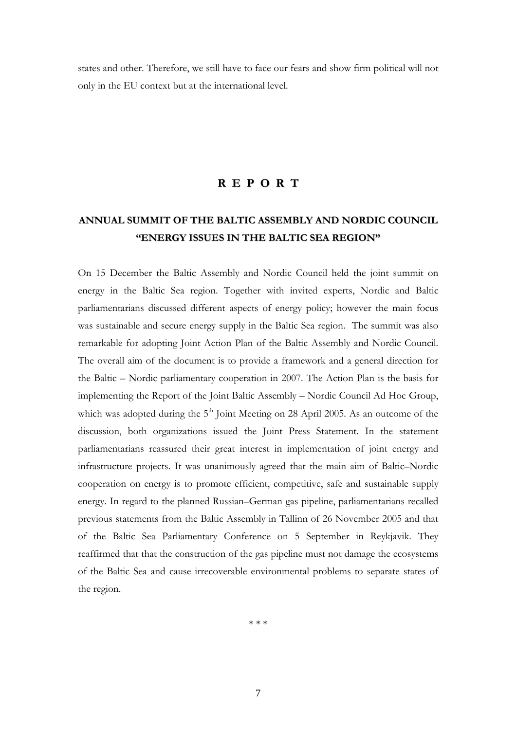states and other. Therefore, we still have to face our fears and show firm political will not only in the EU context but at the international level.

# **R E P O R T**

# **ANNUAL SUMMIT OF THE BALTIC ASSEMBLY AND NORDIC COUNCIL "ENERGY ISSUES IN THE BALTIC SEA REGION"**

On 15 December the Baltic Assembly and Nordic Council held the joint summit on energy in the Baltic Sea region. Together with invited experts, Nordic and Baltic parliamentarians discussed different aspects of energy policy; however the main focus was sustainable and secure energy supply in the Baltic Sea region. The summit was also remarkable for adopting Joint Action Plan of the Baltic Assembly and Nordic Council. The overall aim of the document is to provide a framework and a general direction for the Baltic – Nordic parliamentary cooperation in 2007. The Action Plan is the basis for implementing the Report of the Joint Baltic Assembly – Nordic Council Ad Hoc Group, which was adopted during the 5<sup>th</sup> Joint Meeting on 28 April 2005. As an outcome of the discussion, both organizations issued the Joint Press Statement. In the statement parliamentarians reassured their great interest in implementation of joint energy and infrastructure projects. It was unanimously agreed that the main aim of Baltic–Nordic cooperation on energy is to promote efficient, competitive, safe and sustainable supply energy. In regard to the planned Russian–German gas pipeline, parliamentarians recalled previous statements from the Baltic Assembly in Tallinn of 26 November 2005 and that of the Baltic Sea Parliamentary Conference on 5 September in Reykjavik. They reaffirmed that that the construction of the gas pipeline must not damage the ecosystems of the Baltic Sea and cause irrecoverable environmental problems to separate states of the region.

\* \* \*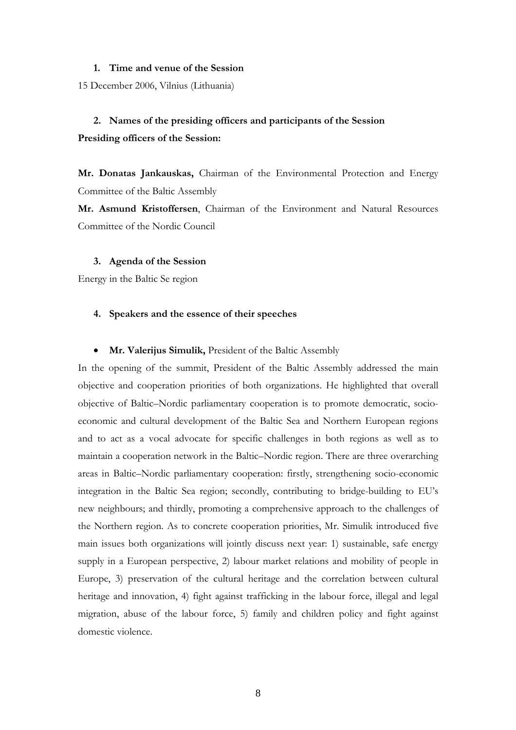#### **1. Time and venue of the Session**

15 December 2006, Vilnius (Lithuania)

# **2. Names of the presiding officers and participants of the Session Presiding officers of the Session:**

**Mr. Donatas Jankauskas,** Chairman of the Environmental Protection and Energy Committee of the Baltic Assembly

**Mr. Asmund Kristoffersen**, Chairman of the Environment and Natural Resources Committee of the Nordic Council

#### **3. Agenda of the Session**

Energy in the Baltic Se region

### **4. Speakers and the essence of their speeches**

#### • **Mr. Valerijus Simulik,** President of the Baltic Assembly

In the opening of the summit, President of the Baltic Assembly addressed the main objective and cooperation priorities of both organizations. He highlighted that overall objective of Baltic–Nordic parliamentary cooperation is to promote democratic, socioeconomic and cultural development of the Baltic Sea and Northern European regions and to act as a vocal advocate for specific challenges in both regions as well as to maintain a cooperation network in the Baltic–Nordic region. There are three overarching areas in Baltic–Nordic parliamentary cooperation: firstly, strengthening socio-economic integration in the Baltic Sea region; secondly, contributing to bridge-building to EU's new neighbours; and thirdly, promoting a comprehensive approach to the challenges of the Northern region. As to concrete cooperation priorities, Mr. Simulik introduced five main issues both organizations will jointly discuss next year: 1) sustainable, safe energy supply in a European perspective, 2) labour market relations and mobility of people in Europe, 3) preservation of the cultural heritage and the correlation between cultural heritage and innovation, 4) fight against trafficking in the labour force, illegal and legal migration, abuse of the labour force, 5) family and children policy and fight against domestic violence.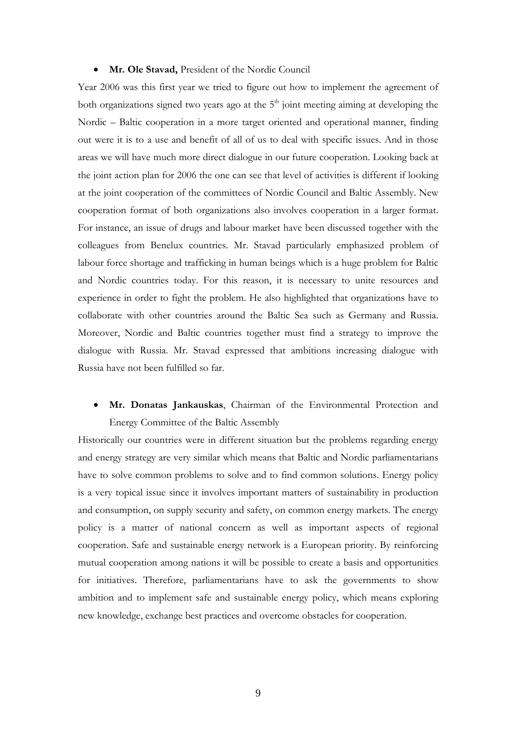#### • **Mr. Ole Stavad,** President of the Nordic Council

Year 2006 was this first year we tried to figure out how to implement the agreement of both organizations signed two years ago at the  $5<sup>th</sup>$  joint meeting aiming at developing the Nordic – Baltic cooperation in a more target oriented and operational manner, finding out were it is to a use and benefit of all of us to deal with specific issues. And in those areas we will have much more direct dialogue in our future cooperation. Looking back at the joint action plan for 2006 the one can see that level of activities is different if looking at the joint cooperation of the committees of Nordic Council and Baltic Assembly. New cooperation format of both organizations also involves cooperation in a larger format. For instance, an issue of drugs and labour market have been discussed together with the colleagues from Benelux countries. Mr. Stavad particularly emphasized problem of labour force shortage and trafficking in human beings which is a huge problem for Baltic and Nordic countries today. For this reason, it is necessary to unite resources and experience in order to fight the problem. He also highlighted that organizations have to collaborate with other countries around the Baltic Sea such as Germany and Russia. Moreover, Nordic and Baltic countries together must find a strategy to improve the dialogue with Russia. Mr. Stavad expressed that ambitions increasing dialogue with Russia have not been fulfilled so far.

# • **Mr. Donatas Jankauskas**, Chairman of the Environmental Protection and Energy Committee of the Baltic Assembly

Historically our countries were in different situation but the problems regarding energy and energy strategy are very similar which means that Baltic and Nordic parliamentarians have to solve common problems to solve and to find common solutions. Energy policy is a very topical issue since it involves important matters of sustainability in production and consumption, on supply security and safety, on common energy markets. The energy policy is a matter of national concern as well as important aspects of regional cooperation. Safe and sustainable energy network is a European priority. By reinforcing mutual cooperation among nations it will be possible to create a basis and opportunities for initiatives. Therefore, parliamentarians have to ask the governments to show ambition and to implement safe and sustainable energy policy, which means exploring new knowledge, exchange best practices and overcome obstacles for cooperation.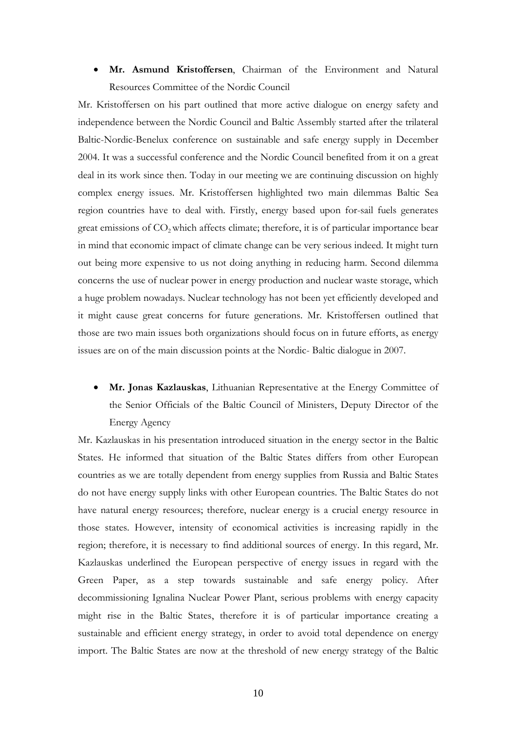• **Mr. Asmund Kristoffersen**, Chairman of the Environment and Natural Resources Committee of the Nordic Council

Mr. Kristoffersen on his part outlined that more active dialogue on energy safety and independence between the Nordic Council and Baltic Assembly started after the trilateral Baltic-Nordic-Benelux conference on sustainable and safe energy supply in December 2004. It was a successful conference and the Nordic Council benefited from it on a great deal in its work since then. Today in our meeting we are continuing discussion on highly complex energy issues. Mr. Kristoffersen highlighted two main dilemmas Baltic Sea region countries have to deal with. Firstly, energy based upon for-sail fuels generates great emissions of CO<sub>2</sub> which affects climate; therefore, it is of particular importance bear in mind that economic impact of climate change can be very serious indeed. It might turn out being more expensive to us not doing anything in reducing harm. Second dilemma concerns the use of nuclear power in energy production and nuclear waste storage, which a huge problem nowadays. Nuclear technology has not been yet efficiently developed and it might cause great concerns for future generations. Mr. Kristoffersen outlined that those are two main issues both organizations should focus on in future efforts, as energy issues are on of the main discussion points at the Nordic- Baltic dialogue in 2007.

• **Mr. Jonas Kazlauskas**, Lithuanian Representative at the Energy Committee of the Senior Officials of the Baltic Council of Ministers, Deputy Director of the Energy Agency

Mr. Kazlauskas in his presentation introduced situation in the energy sector in the Baltic States. He informed that situation of the Baltic States differs from other European countries as we are totally dependent from energy supplies from Russia and Baltic States do not have energy supply links with other European countries. The Baltic States do not have natural energy resources; therefore, nuclear energy is a crucial energy resource in those states. However, intensity of economical activities is increasing rapidly in the region; therefore, it is necessary to find additional sources of energy. In this regard, Mr. Kazlauskas underlined the European perspective of energy issues in regard with the Green Paper, as a step towards sustainable and safe energy policy. After decommissioning Ignalina Nuclear Power Plant, serious problems with energy capacity might rise in the Baltic States, therefore it is of particular importance creating a sustainable and efficient energy strategy, in order to avoid total dependence on energy import. The Baltic States are now at the threshold of new energy strategy of the Baltic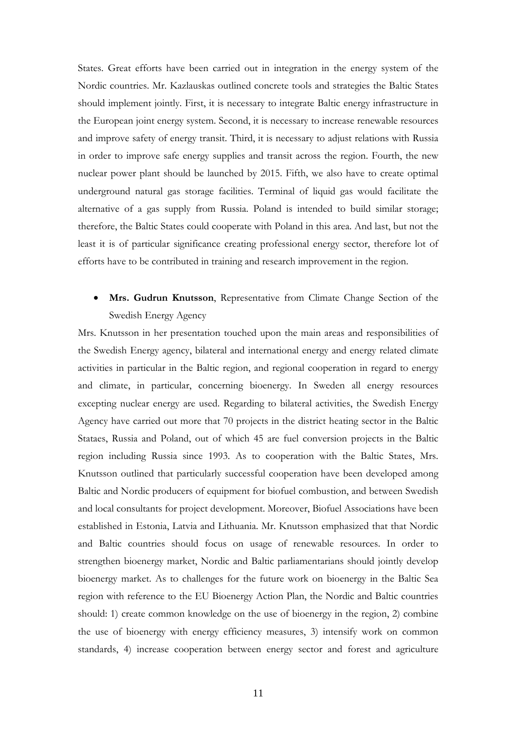States. Great efforts have been carried out in integration in the energy system of the Nordic countries. Mr. Kazlauskas outlined concrete tools and strategies the Baltic States should implement jointly. First, it is necessary to integrate Baltic energy infrastructure in the European joint energy system. Second, it is necessary to increase renewable resources and improve safety of energy transit. Third, it is necessary to adjust relations with Russia in order to improve safe energy supplies and transit across the region. Fourth, the new nuclear power plant should be launched by 2015. Fifth, we also have to create optimal underground natural gas storage facilities. Terminal of liquid gas would facilitate the alternative of a gas supply from Russia. Poland is intended to build similar storage; therefore, the Baltic States could cooperate with Poland in this area. And last, but not the least it is of particular significance creating professional energy sector, therefore lot of efforts have to be contributed in training and research improvement in the region.

# • **Mrs. Gudrun Knutsson**, Representative from Climate Change Section of the Swedish Energy Agency

Mrs. Knutsson in her presentation touched upon the main areas and responsibilities of the Swedish Energy agency, bilateral and international energy and energy related climate activities in particular in the Baltic region, and regional cooperation in regard to energy and climate, in particular, concerning bioenergy. In Sweden all energy resources excepting nuclear energy are used. Regarding to bilateral activities, the Swedish Energy Agency have carried out more that 70 projects in the district heating sector in the Baltic Stataes, Russia and Poland, out of which 45 are fuel conversion projects in the Baltic region including Russia since 1993. As to cooperation with the Baltic States, Mrs. Knutsson outlined that particularly successful cooperation have been developed among Baltic and Nordic producers of equipment for biofuel combustion, and between Swedish and local consultants for project development. Moreover, Biofuel Associations have been established in Estonia, Latvia and Lithuania. Mr. Knutsson emphasized that that Nordic and Baltic countries should focus on usage of renewable resources. In order to strengthen bioenergy market, Nordic and Baltic parliamentarians should jointly develop bioenergy market. As to challenges for the future work on bioenergy in the Baltic Sea region with reference to the EU Bioenergy Action Plan, the Nordic and Baltic countries should: 1) create common knowledge on the use of bioenergy in the region, 2) combine the use of bioenergy with energy efficiency measures, 3) intensify work on common standards, 4) increase cooperation between energy sector and forest and agriculture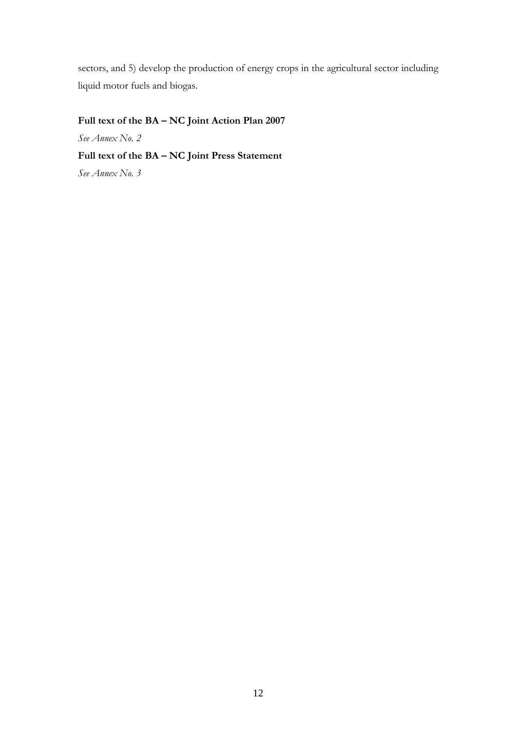sectors, and 5) develop the production of energy crops in the agricultural sector including liquid motor fuels and biogas.

# **Full text of the BA – NC Joint Action Plan 2007**

*See Annex No. 2* 

# **Full text of the BA – NC Joint Press Statement**

*See Annex No. 3*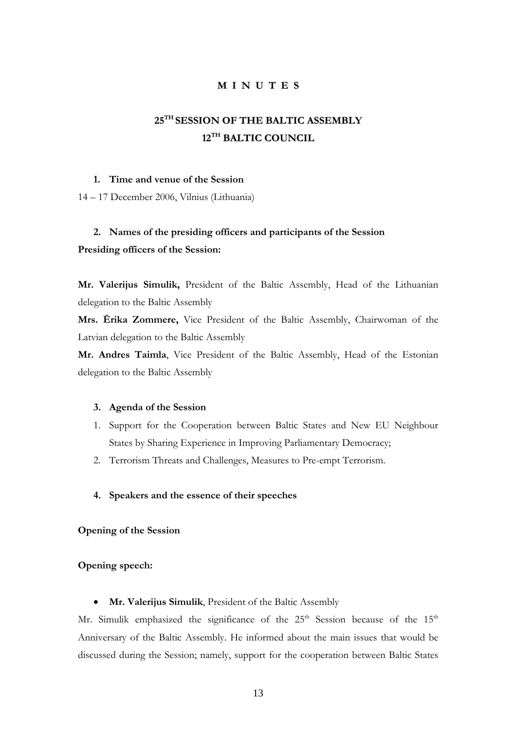# **M I N U T E S**

# **25TH SESSION OF THE BALTIC ASSEMBLY 12TH BALTIC COUNCIL**

### **1. Time and venue of the Session**

14 – 17 December 2006, Vilnius (Lithuania)

# **2. Names of the presiding officers and participants of the Session Presiding officers of the Session:**

**Mr. Valerijus Simulik,** President of the Baltic Assembly, Head of the Lithuanian delegation to the Baltic Assembly

**Mrs. Ērika Zommere,** Vice President of the Baltic Assembly, Chairwoman of the Latvian delegation to the Baltic Assembly

**Mr. Andres Taimla**, Vice President of the Baltic Assembly, Head of the Estonian delegation to the Baltic Assembly

#### **3. Agenda of the Session**

- 1. Support for the Cooperation between Baltic States and New EU Neighbour States by Sharing Experience in Improving Parliamentary Democracy;
- 2. Terrorism Threats and Challenges, Measures to Pre-empt Terrorism.

### **4. Speakers and the essence of their speeches**

**Opening of the Session** 

## **Opening speech:**

• **Mr. Valerijus Simulik**, President of the Baltic Assembly

Mr. Simulik emphasized the significance of the  $25<sup>th</sup>$  Session because of the  $15<sup>th</sup>$ Anniversary of the Baltic Assembly. He informed about the main issues that would be discussed during the Session; namely, support for the cooperation between Baltic States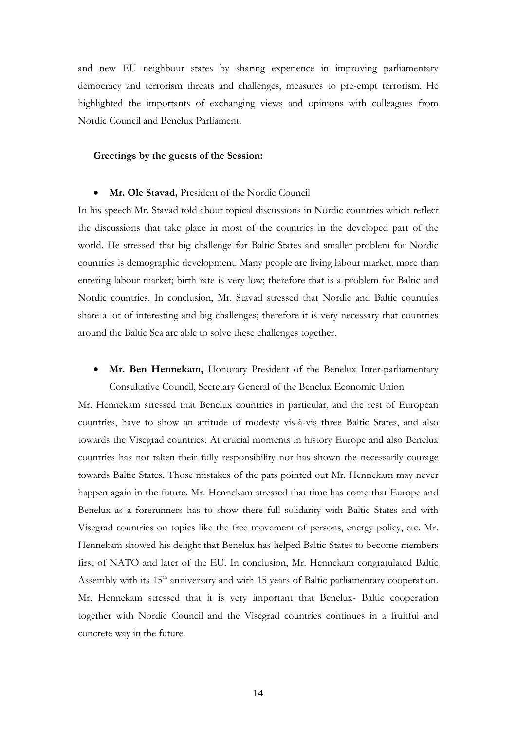and new EU neighbour states by sharing experience in improving parliamentary democracy and terrorism threats and challenges, measures to pre-empt terrorism. He highlighted the importants of exchanging views and opinions with colleagues from Nordic Council and Benelux Parliament.

### **Greetings by the guests of the Session:**

#### • **Mr. Ole Stavad,** President of the Nordic Council

In his speech Mr. Stavad told about topical discussions in Nordic countries which reflect the discussions that take place in most of the countries in the developed part of the world. He stressed that big challenge for Baltic States and smaller problem for Nordic countries is demographic development. Many people are living labour market, more than entering labour market; birth rate is very low; therefore that is a problem for Baltic and Nordic countries. In conclusion, Mr. Stavad stressed that Nordic and Baltic countries share a lot of interesting and big challenges; therefore it is very necessary that countries around the Baltic Sea are able to solve these challenges together.

# • **Mr. Ben Hennekam,** Honorary President of the Benelux Inter-parliamentary Consultative Council, Secretary General of the Benelux Economic Union

Mr. Hennekam stressed that Benelux countries in particular, and the rest of European countries, have to show an attitude of modesty vis-à-vis three Baltic States, and also towards the Visegrad countries. At crucial moments in history Europe and also Benelux countries has not taken their fully responsibility nor has shown the necessarily courage towards Baltic States. Those mistakes of the pats pointed out Mr. Hennekam may never happen again in the future. Mr. Hennekam stressed that time has come that Europe and Benelux as a forerunners has to show there full solidarity with Baltic States and with Visegrad countries on topics like the free movement of persons, energy policy, etc. Mr. Hennekam showed his delight that Benelux has helped Baltic States to become members first of NATO and later of the EU. In conclusion, Mr. Hennekam congratulated Baltic Assembly with its 15<sup>th</sup> anniversary and with 15 years of Baltic parliamentary cooperation. Mr. Hennekam stressed that it is very important that Benelux- Baltic cooperation together with Nordic Council and the Visegrad countries continues in a fruitful and concrete way in the future.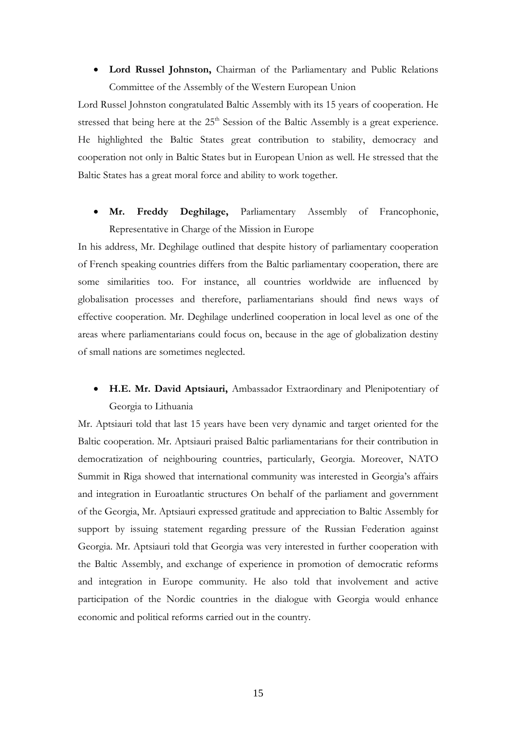# • **Lord Russel Johnston,** Chairman of the Parliamentary and Public Relations Committee of the Assembly of the Western European Union

Lord Russel Johnston congratulated Baltic Assembly with its 15 years of cooperation. He stressed that being here at the  $25<sup>th</sup>$  Session of the Baltic Assembly is a great experience. He highlighted the Baltic States great contribution to stability, democracy and cooperation not only in Baltic States but in European Union as well. He stressed that the Baltic States has a great moral force and ability to work together.

# • **Mr. Freddy Deghilage,** Parliamentary Assembly of Francophonie, Representative in Charge of the Mission in Europe

In his address, Mr. Deghilage outlined that despite history of parliamentary cooperation of French speaking countries differs from the Baltic parliamentary cooperation, there are some similarities too. For instance, all countries worldwide are influenced by globalisation processes and therefore, parliamentarians should find news ways of effective cooperation. Mr. Deghilage underlined cooperation in local level as one of the areas where parliamentarians could focus on, because in the age of globalization destiny of small nations are sometimes neglected.

# • **H.E. Mr. David Aptsiauri,** Ambassador Extraordinary and Plenipotentiary of Georgia to Lithuania

Mr. Aptsiauri told that last 15 years have been very dynamic and target oriented for the Baltic cooperation. Mr. Aptsiauri praised Baltic parliamentarians for their contribution in democratization of neighbouring countries, particularly, Georgia. Moreover, NATO Summit in Riga showed that international community was interested in Georgia's affairs and integration in Euroatlantic structures On behalf of the parliament and government of the Georgia, Mr. Aptsiauri expressed gratitude and appreciation to Baltic Assembly for support by issuing statement regarding pressure of the Russian Federation against Georgia. Mr. Aptsiauri told that Georgia was very interested in further cooperation with the Baltic Assembly, and exchange of experience in promotion of democratic reforms and integration in Europe community. He also told that involvement and active participation of the Nordic countries in the dialogue with Georgia would enhance economic and political reforms carried out in the country.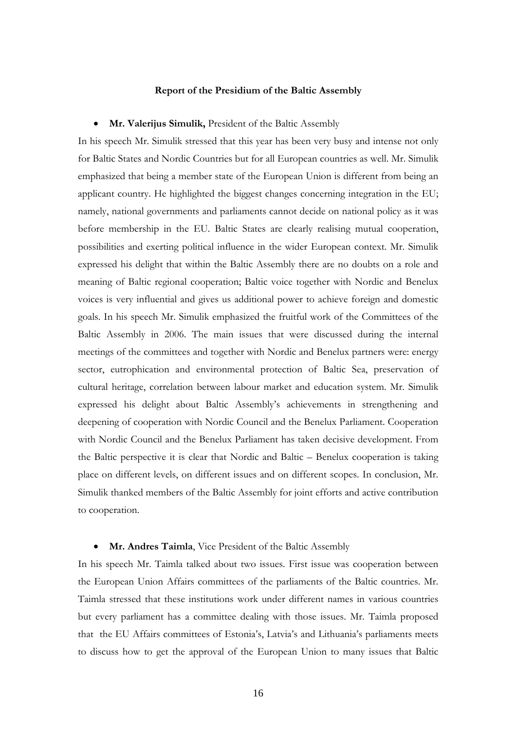#### **Report of the Presidium of the Baltic Assembly**

#### • **Mr. Valerijus Simulik,** President of the Baltic Assembly

In his speech Mr. Simulik stressed that this year has been very busy and intense not only for Baltic States and Nordic Countries but for all European countries as well. Mr. Simulik emphasized that being a member state of the European Union is different from being an applicant country. He highlighted the biggest changes concerning integration in the EU; namely, national governments and parliaments cannot decide on national policy as it was before membership in the EU. Baltic States are clearly realising mutual cooperation, possibilities and exerting political influence in the wider European context. Mr. Simulik expressed his delight that within the Baltic Assembly there are no doubts on a role and meaning of Baltic regional cooperation; Baltic voice together with Nordic and Benelux voices is very influential and gives us additional power to achieve foreign and domestic goals. In his speech Mr. Simulik emphasized the fruitful work of the Committees of the Baltic Assembly in 2006. The main issues that were discussed during the internal meetings of the committees and together with Nordic and Benelux partners were: energy sector, eutrophication and environmental protection of Baltic Sea, preservation of cultural heritage, correlation between labour market and education system. Mr. Simulik expressed his delight about Baltic Assembly's achievements in strengthening and deepening of cooperation with Nordic Council and the Benelux Parliament. Cooperation with Nordic Council and the Benelux Parliament has taken decisive development. From the Baltic perspective it is clear that Nordic and Baltic – Benelux cooperation is taking place on different levels, on different issues and on different scopes. In conclusion, Mr. Simulik thanked members of the Baltic Assembly for joint efforts and active contribution to cooperation.

#### • **Mr. Andres Taimla**, Vice President of the Baltic Assembly

In his speech Mr. Taimla talked about two issues. First issue was cooperation between the European Union Affairs committees of the parliaments of the Baltic countries. Mr. Taimla stressed that these institutions work under different names in various countries but every parliament has a committee dealing with those issues. Mr. Taimla proposed that the EU Affairs committees of Estonia's, Latvia's and Lithuania's parliaments meets to discuss how to get the approval of the European Union to many issues that Baltic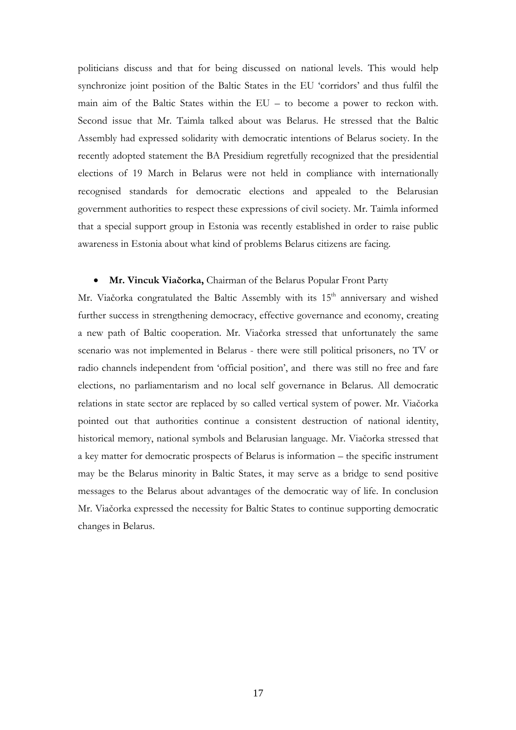politicians discuss and that for being discussed on national levels. This would help synchronize joint position of the Baltic States in the EU 'corridors' and thus fulfil the main aim of the Baltic States within the EU – to become a power to reckon with. Second issue that Mr. Taimla talked about was Belarus. He stressed that the Baltic Assembly had expressed solidarity with democratic intentions of Belarus society. In the recently adopted statement the BA Presidium regretfully recognized that the presidential elections of 19 March in Belarus were not held in compliance with internationally recognised standards for democratic elections and appealed to the Belarusian government authorities to respect these expressions of civil society. Mr. Taimla informed that a special support group in Estonia was recently established in order to raise public awareness in Estonia about what kind of problems Belarus citizens are facing.

### • **Mr. Vincuk Viačorka,** Chairman of the Belarus Popular Front Party

Mr. Viačorka congratulated the Baltic Assembly with its 15<sup>th</sup> anniversary and wished further success in strengthening democracy, effective governance and economy, creating a new path of Baltic cooperation. Mr. Viačorka stressed that unfortunately the same scenario was not implemented in Belarus - there were still political prisoners, no TV or radio channels independent from 'official position', and there was still no free and fare elections, no parliamentarism and no local self governance in Belarus. All democratic relations in state sector are replaced by so called vertical system of power. Mr. Viačorka pointed out that authorities continue a consistent destruction of national identity, historical memory, national symbols and Belarusian language. Mr. Viačorka stressed that a key matter for democratic prospects of Belarus is information – the specific instrument may be the Belarus minority in Baltic States, it may serve as a bridge to send positive messages to the Belarus about advantages of the democratic way of life. In conclusion Mr. Viačorka expressed the necessity for Baltic States to continue supporting democratic changes in Belarus.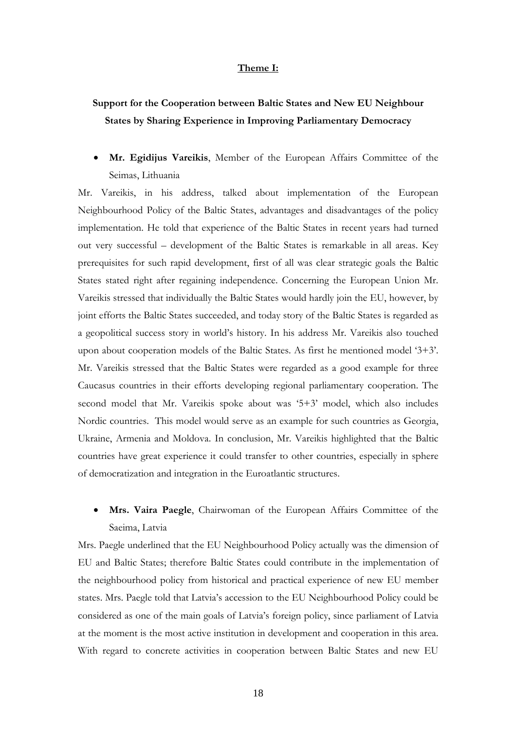### **Theme I:**

# **Support for the Cooperation between Baltic States and New EU Neighbour States by Sharing Experience in Improving Parliamentary Democracy**

• **Mr. Egidijus Vareikis**, Member of the European Affairs Committee of the Seimas, Lithuania

Mr. Vareikis, in his address, talked about implementation of the European Neighbourhood Policy of the Baltic States, advantages and disadvantages of the policy implementation. He told that experience of the Baltic States in recent years had turned out very successful – development of the Baltic States is remarkable in all areas. Key prerequisites for such rapid development, first of all was clear strategic goals the Baltic States stated right after regaining independence. Concerning the European Union Mr. Vareikis stressed that individually the Baltic States would hardly join the EU, however, by joint efforts the Baltic States succeeded, and today story of the Baltic States is regarded as a geopolitical success story in world's history. In his address Mr. Vareikis also touched upon about cooperation models of the Baltic States. As first he mentioned model '3+3'. Mr. Vareikis stressed that the Baltic States were regarded as a good example for three Caucasus countries in their efforts developing regional parliamentary cooperation. The second model that Mr. Vareikis spoke about was '5+3' model, which also includes Nordic countries. This model would serve as an example for such countries as Georgia, Ukraine, Armenia and Moldova. In conclusion, Mr. Vareikis highlighted that the Baltic countries have great experience it could transfer to other countries, especially in sphere of democratization and integration in the Euroatlantic structures.

# • **Mrs. Vaira Paegle**, Chairwoman of the European Affairs Committee of the Saeima, Latvia

Mrs. Paegle underlined that the EU Neighbourhood Policy actually was the dimension of EU and Baltic States; therefore Baltic States could contribute in the implementation of the neighbourhood policy from historical and practical experience of new EU member states. Mrs. Paegle told that Latvia's accession to the EU Neighbourhood Policy could be considered as one of the main goals of Latvia's foreign policy, since parliament of Latvia at the moment is the most active institution in development and cooperation in this area. With regard to concrete activities in cooperation between Baltic States and new EU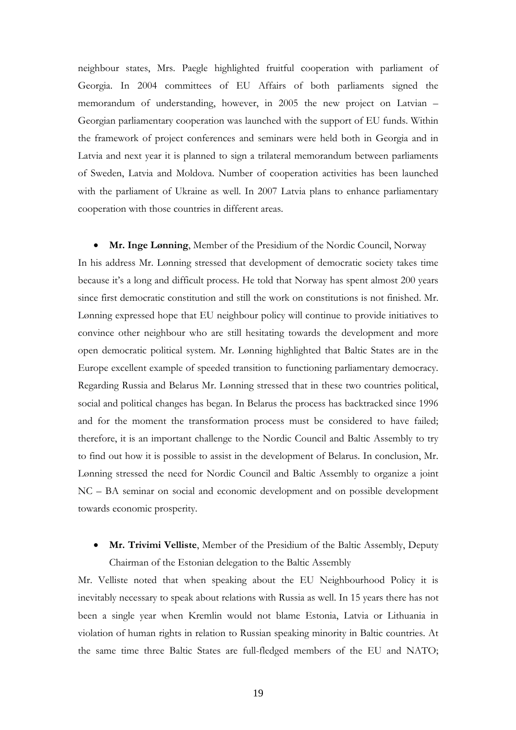neighbour states, Mrs. Paegle highlighted fruitful cooperation with parliament of Georgia. In 2004 committees of EU Affairs of both parliaments signed the memorandum of understanding, however, in 2005 the new project on Latvian – Georgian parliamentary cooperation was launched with the support of EU funds. Within the framework of project conferences and seminars were held both in Georgia and in Latvia and next year it is planned to sign a trilateral memorandum between parliaments of Sweden, Latvia and Moldova. Number of cooperation activities has been launched with the parliament of Ukraine as well. In 2007 Latvia plans to enhance parliamentary cooperation with those countries in different areas.

• **Mr. Inge Lønning**, Member of the Presidium of the Nordic Council, Norway In his address Mr. Lønning stressed that development of democratic society takes time because it's a long and difficult process. He told that Norway has spent almost 200 years since first democratic constitution and still the work on constitutions is not finished. Mr. Lønning expressed hope that EU neighbour policy will continue to provide initiatives to convince other neighbour who are still hesitating towards the development and more open democratic political system. Mr. Lønning highlighted that Baltic States are in the Europe excellent example of speeded transition to functioning parliamentary democracy. Regarding Russia and Belarus Mr. Lønning stressed that in these two countries political, social and political changes has began. In Belarus the process has backtracked since 1996 and for the moment the transformation process must be considered to have failed; therefore, it is an important challenge to the Nordic Council and Baltic Assembly to try to find out how it is possible to assist in the development of Belarus. In conclusion, Mr. Lønning stressed the need for Nordic Council and Baltic Assembly to organize a joint NC – BA seminar on social and economic development and on possible development towards economic prosperity.

• **Mr. Trivimi Velliste**, Member of the Presidium of the Baltic Assembly, Deputy Chairman of the Estonian delegation to the Baltic Assembly

Mr. Velliste noted that when speaking about the EU Neighbourhood Policy it is inevitably necessary to speak about relations with Russia as well. In 15 years there has not been a single year when Kremlin would not blame Estonia, Latvia or Lithuania in violation of human rights in relation to Russian speaking minority in Baltic countries. At the same time three Baltic States are full-fledged members of the EU and NATO;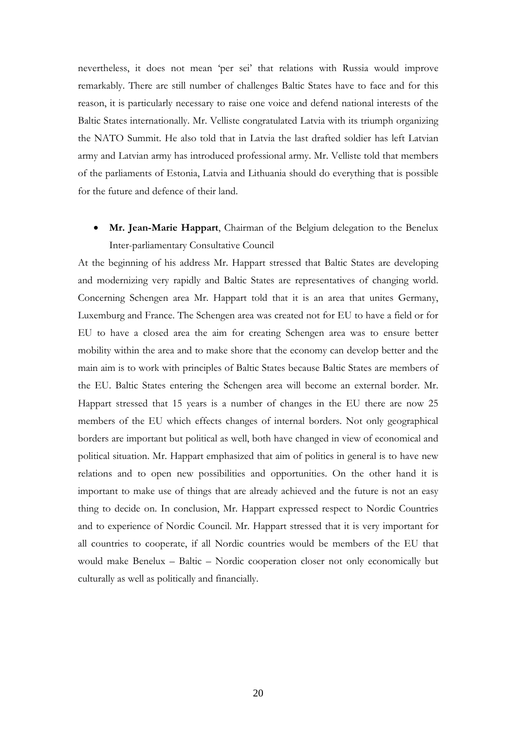nevertheless, it does not mean 'per sei' that relations with Russia would improve remarkably. There are still number of challenges Baltic States have to face and for this reason, it is particularly necessary to raise one voice and defend national interests of the Baltic States internationally. Mr. Velliste congratulated Latvia with its triumph organizing the NATO Summit. He also told that in Latvia the last drafted soldier has left Latvian army and Latvian army has introduced professional army. Mr. Velliste told that members of the parliaments of Estonia, Latvia and Lithuania should do everything that is possible for the future and defence of their land.

• **Mr. Jean-Marie Happart**, Chairman of the Belgium delegation to the Benelux Inter-parliamentary Consultative Council

At the beginning of his address Mr. Happart stressed that Baltic States are developing and modernizing very rapidly and Baltic States are representatives of changing world. Concerning Schengen area Mr. Happart told that it is an area that unites Germany, Luxemburg and France. The Schengen area was created not for EU to have a field or for EU to have a closed area the aim for creating Schengen area was to ensure better mobility within the area and to make shore that the economy can develop better and the main aim is to work with principles of Baltic States because Baltic States are members of the EU. Baltic States entering the Schengen area will become an external border. Mr. Happart stressed that 15 years is a number of changes in the EU there are now 25 members of the EU which effects changes of internal borders. Not only geographical borders are important but political as well, both have changed in view of economical and political situation. Mr. Happart emphasized that aim of politics in general is to have new relations and to open new possibilities and opportunities. On the other hand it is important to make use of things that are already achieved and the future is not an easy thing to decide on. In conclusion, Mr. Happart expressed respect to Nordic Countries and to experience of Nordic Council. Mr. Happart stressed that it is very important for all countries to cooperate, if all Nordic countries would be members of the EU that would make Benelux – Baltic – Nordic cooperation closer not only economically but culturally as well as politically and financially.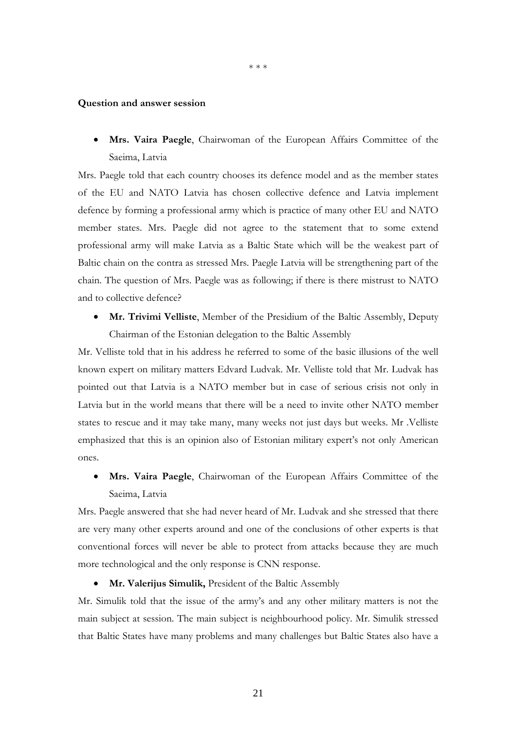\* \* \*

#### **Question and answer session**

• **Mrs. Vaira Paegle**, Chairwoman of the European Affairs Committee of the Saeima, Latvia

Mrs. Paegle told that each country chooses its defence model and as the member states of the EU and NATO Latvia has chosen collective defence and Latvia implement defence by forming a professional army which is practice of many other EU and NATO member states. Mrs. Paegle did not agree to the statement that to some extend professional army will make Latvia as a Baltic State which will be the weakest part of Baltic chain on the contra as stressed Mrs. Paegle Latvia will be strengthening part of the chain. The question of Mrs. Paegle was as following; if there is there mistrust to NATO and to collective defence?

• **Mr. Trivimi Velliste**, Member of the Presidium of the Baltic Assembly, Deputy Chairman of the Estonian delegation to the Baltic Assembly

Mr. Velliste told that in his address he referred to some of the basic illusions of the well known expert on military matters Edvard Ludvak. Mr. Velliste told that Mr. Ludvak has pointed out that Latvia is a NATO member but in case of serious crisis not only in Latvia but in the world means that there will be a need to invite other NATO member states to rescue and it may take many, many weeks not just days but weeks. Mr .Velliste emphasized that this is an opinion also of Estonian military expert's not only American ones.

• **Mrs. Vaira Paegle**, Chairwoman of the European Affairs Committee of the Saeima, Latvia

Mrs. Paegle answered that she had never heard of Mr. Ludvak and she stressed that there are very many other experts around and one of the conclusions of other experts is that conventional forces will never be able to protect from attacks because they are much more technological and the only response is CNN response.

• **Mr. Valerijus Simulik,** President of the Baltic Assembly

Mr. Simulik told that the issue of the army's and any other military matters is not the main subject at session. The main subject is neighbourhood policy. Mr. Simulik stressed that Baltic States have many problems and many challenges but Baltic States also have a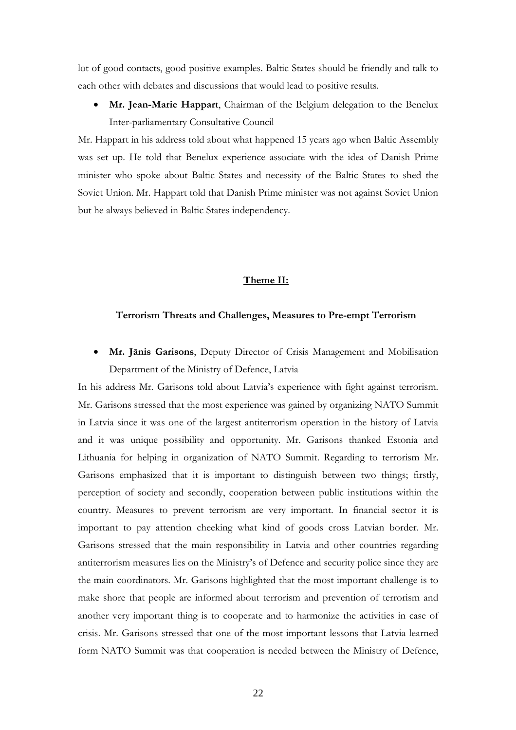lot of good contacts, good positive examples. Baltic States should be friendly and talk to each other with debates and discussions that would lead to positive results.

• **Mr. Jean-Marie Happart**, Chairman of the Belgium delegation to the Benelux Inter-parliamentary Consultative Council

Mr. Happart in his address told about what happened 15 years ago when Baltic Assembly was set up. He told that Benelux experience associate with the idea of Danish Prime minister who spoke about Baltic States and necessity of the Baltic States to shed the Soviet Union. Mr. Happart told that Danish Prime minister was not against Soviet Union but he always believed in Baltic States independency.

# **Theme II:**

#### **Terrorism Threats and Challenges, Measures to Pre-empt Terrorism**

• **Mr. Jānis Garisons**, Deputy Director of Crisis Management and Mobilisation Department of the Ministry of Defence, Latvia

In his address Mr. Garisons told about Latvia's experience with fight against terrorism. Mr. Garisons stressed that the most experience was gained by organizing NATO Summit in Latvia since it was one of the largest antiterrorism operation in the history of Latvia and it was unique possibility and opportunity. Mr. Garisons thanked Estonia and Lithuania for helping in organization of NATO Summit. Regarding to terrorism Mr. Garisons emphasized that it is important to distinguish between two things; firstly, perception of society and secondly, cooperation between public institutions within the country. Measures to prevent terrorism are very important. In financial sector it is important to pay attention cheeking what kind of goods cross Latvian border. Mr. Garisons stressed that the main responsibility in Latvia and other countries regarding antiterrorism measures lies on the Ministry's of Defence and security police since they are the main coordinators. Mr. Garisons highlighted that the most important challenge is to make shore that people are informed about terrorism and prevention of terrorism and another very important thing is to cooperate and to harmonize the activities in case of crisis. Mr. Garisons stressed that one of the most important lessons that Latvia learned form NATO Summit was that cooperation is needed between the Ministry of Defence,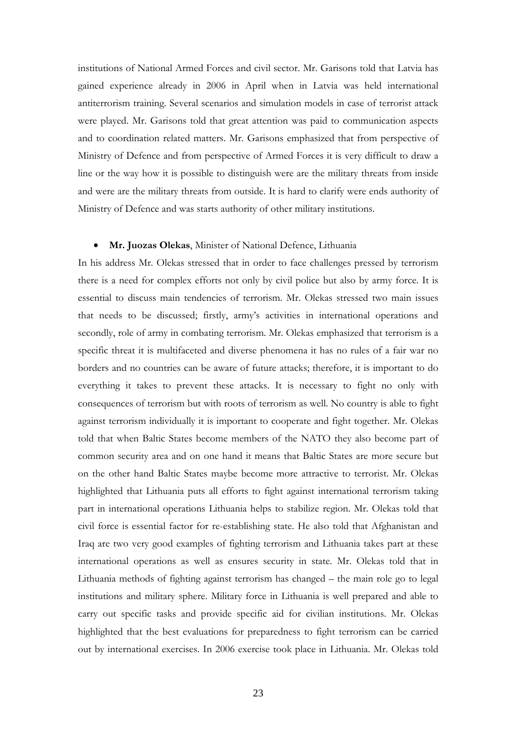institutions of National Armed Forces and civil sector. Mr. Garisons told that Latvia has gained experience already in 2006 in April when in Latvia was held international antiterrorism training. Several scenarios and simulation models in case of terrorist attack were played. Mr. Garisons told that great attention was paid to communication aspects and to coordination related matters. Mr. Garisons emphasized that from perspective of Ministry of Defence and from perspective of Armed Forces it is very difficult to draw a line or the way how it is possible to distinguish were are the military threats from inside and were are the military threats from outside. It is hard to clarify were ends authority of Ministry of Defence and was starts authority of other military institutions.

#### • **Mr. Juozas Olekas**, Minister of National Defence, Lithuania

In his address Mr. Olekas stressed that in order to face challenges pressed by terrorism there is a need for complex efforts not only by civil police but also by army force. It is essential to discuss main tendencies of terrorism. Mr. Olekas stressed two main issues that needs to be discussed; firstly, army's activities in international operations and secondly, role of army in combating terrorism. Mr. Olekas emphasized that terrorism is a specific threat it is multifaceted and diverse phenomena it has no rules of a fair war no borders and no countries can be aware of future attacks; therefore, it is important to do everything it takes to prevent these attacks. It is necessary to fight no only with consequences of terrorism but with roots of terrorism as well. No country is able to fight against terrorism individually it is important to cooperate and fight together. Mr. Olekas told that when Baltic States become members of the NATO they also become part of common security area and on one hand it means that Baltic States are more secure but on the other hand Baltic States maybe become more attractive to terrorist. Mr. Olekas highlighted that Lithuania puts all efforts to fight against international terrorism taking part in international operations Lithuania helps to stabilize region. Mr. Olekas told that civil force is essential factor for re-establishing state. He also told that Afghanistan and Iraq are two very good examples of fighting terrorism and Lithuania takes part at these international operations as well as ensures security in state. Mr. Olekas told that in Lithuania methods of fighting against terrorism has changed – the main role go to legal institutions and military sphere. Military force in Lithuania is well prepared and able to carry out specific tasks and provide specific aid for civilian institutions. Mr. Olekas highlighted that the best evaluations for preparedness to fight terrorism can be carried out by international exercises. In 2006 exercise took place in Lithuania. Mr. Olekas told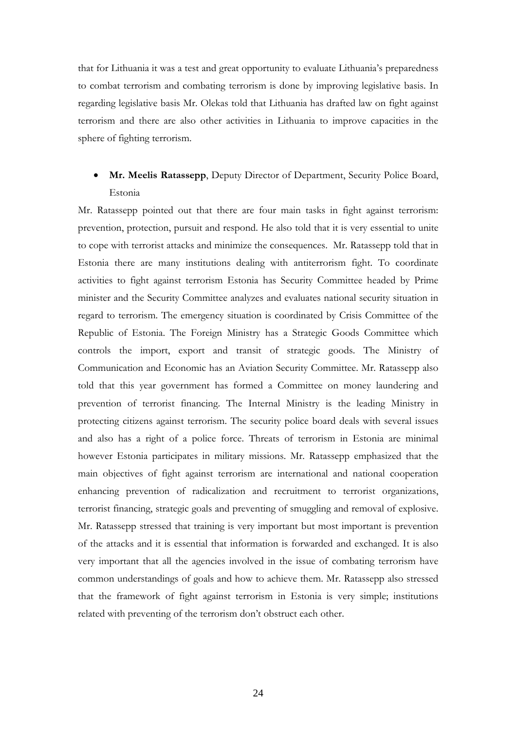that for Lithuania it was a test and great opportunity to evaluate Lithuania's preparedness to combat terrorism and combating terrorism is done by improving legislative basis. In regarding legislative basis Mr. Olekas told that Lithuania has drafted law on fight against terrorism and there are also other activities in Lithuania to improve capacities in the sphere of fighting terrorism.

# • **Mr. Meelis Ratassepp**, Deputy Director of Department, Security Police Board, Estonia

Mr. Ratassepp pointed out that there are four main tasks in fight against terrorism: prevention, protection, pursuit and respond. He also told that it is very essential to unite to cope with terrorist attacks and minimize the consequences. Mr. Ratassepp told that in Estonia there are many institutions dealing with antiterrorism fight. To coordinate activities to fight against terrorism Estonia has Security Committee headed by Prime minister and the Security Committee analyzes and evaluates national security situation in regard to terrorism. The emergency situation is coordinated by Crisis Committee of the Republic of Estonia. The Foreign Ministry has a Strategic Goods Committee which controls the import, export and transit of strategic goods. The Ministry of Communication and Economic has an Aviation Security Committee. Mr. Ratassepp also told that this year government has formed a Committee on money laundering and prevention of terrorist financing. The Internal Ministry is the leading Ministry in protecting citizens against terrorism. The security police board deals with several issues and also has a right of a police force. Threats of terrorism in Estonia are minimal however Estonia participates in military missions. Mr. Ratassepp emphasized that the main objectives of fight against terrorism are international and national cooperation enhancing prevention of radicalization and recruitment to terrorist organizations, terrorist financing, strategic goals and preventing of smuggling and removal of explosive. Mr. Ratassepp stressed that training is very important but most important is prevention of the attacks and it is essential that information is forwarded and exchanged. It is also very important that all the agencies involved in the issue of combating terrorism have common understandings of goals and how to achieve them. Mr. Ratassepp also stressed that the framework of fight against terrorism in Estonia is very simple; institutions related with preventing of the terrorism don't obstruct each other.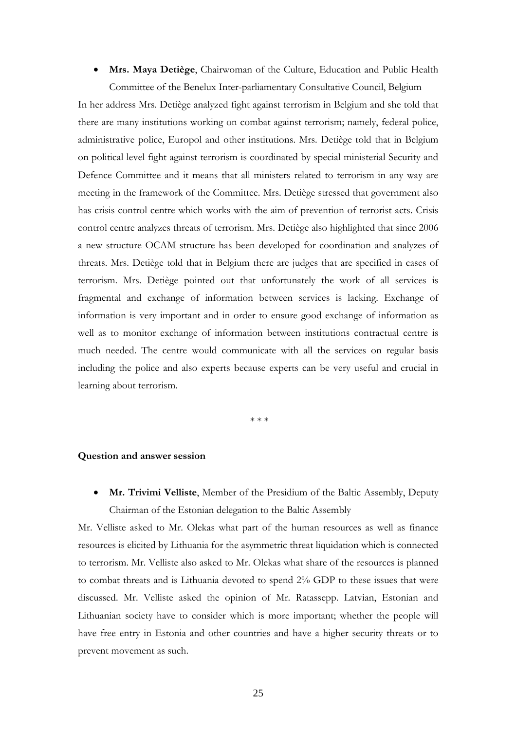• **Mrs. Maya Detiège**, Chairwoman of the Culture, Education and Public Health Committee of the Benelux Inter-parliamentary Consultative Council, Belgium

In her address Mrs. Detiège analyzed fight against terrorism in Belgium and she told that there are many institutions working on combat against terrorism; namely, federal police, administrative police, Europol and other institutions. Mrs. Detiège told that in Belgium on political level fight against terrorism is coordinated by special ministerial Security and Defence Committee and it means that all ministers related to terrorism in any way are meeting in the framework of the Committee. Mrs. Detiège stressed that government also has crisis control centre which works with the aim of prevention of terrorist acts. Crisis control centre analyzes threats of terrorism. Mrs. Detiège also highlighted that since 2006 a new structure OCAM structure has been developed for coordination and analyzes of threats. Mrs. Detiège told that in Belgium there are judges that are specified in cases of terrorism. Mrs. Detiège pointed out that unfortunately the work of all services is fragmental and exchange of information between services is lacking. Exchange of information is very important and in order to ensure good exchange of information as well as to monitor exchange of information between institutions contractual centre is much needed. The centre would communicate with all the services on regular basis including the police and also experts because experts can be very useful and crucial in learning about terrorism.

\* \* \*

#### **Question and answer session**

• **Mr. Trivimi Velliste**, Member of the Presidium of the Baltic Assembly, Deputy Chairman of the Estonian delegation to the Baltic Assembly

Mr. Velliste asked to Mr. Olekas what part of the human resources as well as finance resources is elicited by Lithuania for the asymmetric threat liquidation which is connected to terrorism. Mr. Velliste also asked to Mr. Olekas what share of the resources is planned to combat threats and is Lithuania devoted to spend 2% GDP to these issues that were discussed. Mr. Velliste asked the opinion of Mr. Ratassepp. Latvian, Estonian and Lithuanian society have to consider which is more important; whether the people will have free entry in Estonia and other countries and have a higher security threats or to prevent movement as such.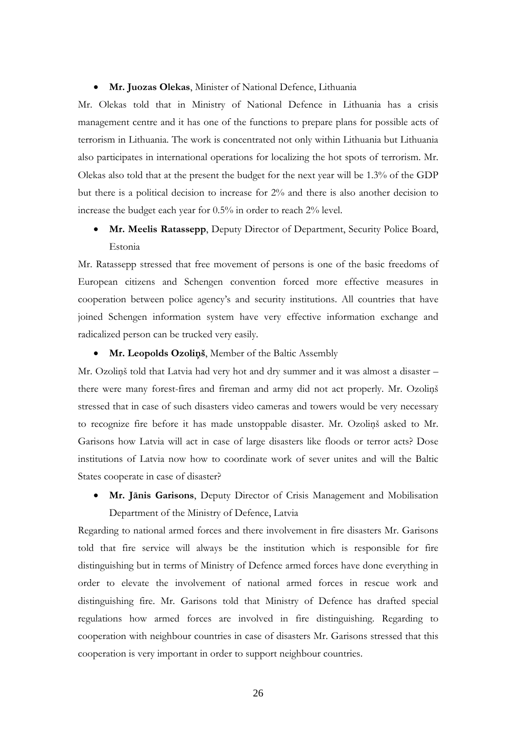#### • **Mr. Juozas Olekas**, Minister of National Defence, Lithuania

Mr. Olekas told that in Ministry of National Defence in Lithuania has a crisis management centre and it has one of the functions to prepare plans for possible acts of terrorism in Lithuania. The work is concentrated not only within Lithuania but Lithuania also participates in international operations for localizing the hot spots of terrorism. Mr. Olekas also told that at the present the budget for the next year will be 1.3% of the GDP but there is a political decision to increase for 2% and there is also another decision to increase the budget each year for 0.5% in order to reach 2% level.

• **Mr. Meelis Ratassepp**, Deputy Director of Department, Security Police Board, Estonia

Mr. Ratassepp stressed that free movement of persons is one of the basic freedoms of European citizens and Schengen convention forced more effective measures in cooperation between police agency's and security institutions. All countries that have joined Schengen information system have very effective information exchange and radicalized person can be trucked very easily.

#### • **Mr. Leopolds Ozoliņš**, Member of the Baltic Assembly

Mr. Ozoliņš told that Latvia had very hot and dry summer and it was almost a disaster – there were many forest-fires and fireman and army did not act properly. Mr. Ozoliņš stressed that in case of such disasters video cameras and towers would be very necessary to recognize fire before it has made unstoppable disaster. Mr. Ozoliņš asked to Mr. Garisons how Latvia will act in case of large disasters like floods or terror acts? Dose institutions of Latvia now how to coordinate work of sever unites and will the Baltic States cooperate in case of disaster?

• **Mr. Jānis Garisons**, Deputy Director of Crisis Management and Mobilisation Department of the Ministry of Defence, Latvia

Regarding to national armed forces and there involvement in fire disasters Mr. Garisons told that fire service will always be the institution which is responsible for fire distinguishing but in terms of Ministry of Defence armed forces have done everything in order to elevate the involvement of national armed forces in rescue work and distinguishing fire. Mr. Garisons told that Ministry of Defence has drafted special regulations how armed forces are involved in fire distinguishing. Regarding to cooperation with neighbour countries in case of disasters Mr. Garisons stressed that this cooperation is very important in order to support neighbour countries.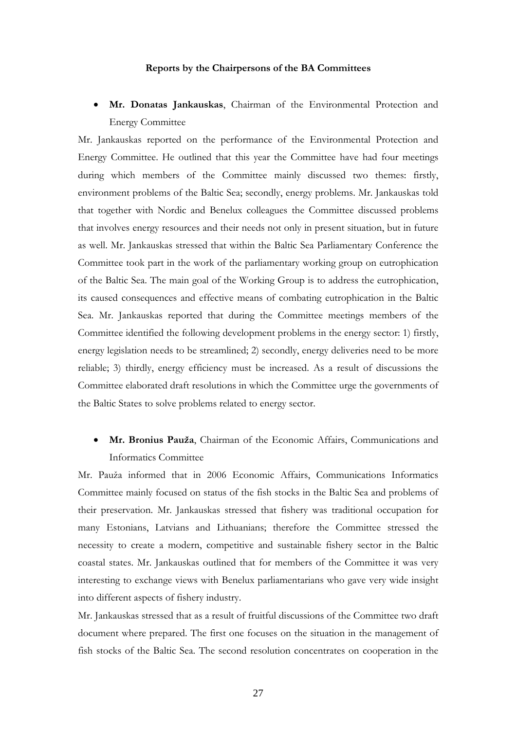#### **Reports by the Chairpersons of the BA Committees**

• **Mr. Donatas Jankauskas**, Chairman of the Environmental Protection and Energy Committee

Mr. Jankauskas reported on the performance of the Environmental Protection and Energy Committee. He outlined that this year the Committee have had four meetings during which members of the Committee mainly discussed two themes: firstly, environment problems of the Baltic Sea; secondly, energy problems. Mr. Jankauskas told that together with Nordic and Benelux colleagues the Committee discussed problems that involves energy resources and their needs not only in present situation, but in future as well. Mr. Jankauskas stressed that within the Baltic Sea Parliamentary Conference the Committee took part in the work of the parliamentary working group on eutrophication of the Baltic Sea. The main goal of the Working Group is to address the eutrophication, its caused consequences and effective means of combating eutrophication in the Baltic Sea. Mr. Jankauskas reported that during the Committee meetings members of the Committee identified the following development problems in the energy sector: 1) firstly, energy legislation needs to be streamlined; 2) secondly, energy deliveries need to be more reliable; 3) thirdly, energy efficiency must be increased. As a result of discussions the Committee elaborated draft resolutions in which the Committee urge the governments of the Baltic States to solve problems related to energy sector.

• **Mr. Bronius Pauža**, Chairman of the Economic Affairs, Communications and Informatics Committee

Mr. Pauža informed that in 2006 Economic Affairs, Communications Informatics Committee mainly focused on status of the fish stocks in the Baltic Sea and problems of their preservation. Mr. Jankauskas stressed that fishery was traditional occupation for many Estonians, Latvians and Lithuanians; therefore the Committee stressed the necessity to create a modern, competitive and sustainable fishery sector in the Baltic coastal states. Mr. Jankauskas outlined that for members of the Committee it was very interesting to exchange views with Benelux parliamentarians who gave very wide insight into different aspects of fishery industry.

Mr. Jankauskas stressed that as a result of fruitful discussions of the Committee two draft document where prepared. The first one focuses on the situation in the management of fish stocks of the Baltic Sea. The second resolution concentrates on cooperation in the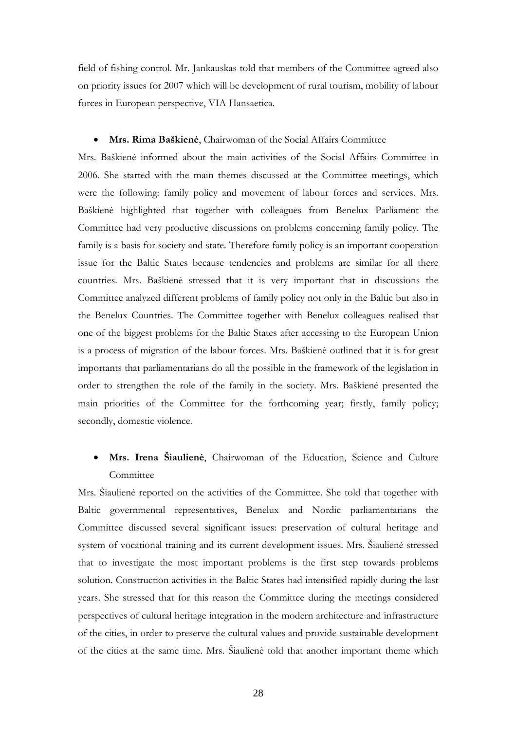field of fishing control. Mr. Jankauskas told that members of the Committee agreed also on priority issues for 2007 which will be development of rural tourism, mobility of labour forces in European perspective, VIA Hansaetica.

### • **Mrs. Rima Baškienė**, Chairwoman of the Social Affairs Committee

Mrs. Baškienė informed about the main activities of the Social Affairs Committee in 2006. She started with the main themes discussed at the Committee meetings, which were the following: family policy and movement of labour forces and services. Mrs. Baškienė highlighted that together with colleagues from Benelux Parliament the Committee had very productive discussions on problems concerning family policy. The family is a basis for society and state. Therefore family policy is an important cooperation issue for the Baltic States because tendencies and problems are similar for all there countries. Mrs. Baškienė stressed that it is very important that in discussions the Committee analyzed different problems of family policy not only in the Baltic but also in the Benelux Countries. The Committee together with Benelux colleagues realised that one of the biggest problems for the Baltic States after accessing to the European Union is a process of migration of the labour forces. Mrs. Baškienė outlined that it is for great importants that parliamentarians do all the possible in the framework of the legislation in order to strengthen the role of the family in the society. Mrs. Baškienė presented the main priorities of the Committee for the forthcoming year; firstly, family policy; secondly, domestic violence.

# • **Mrs. Irena Šiaulienė**, Chairwoman of the Education, Science and Culture Committee

Mrs. Šiaulienė reported on the activities of the Committee. She told that together with Baltic governmental representatives, Benelux and Nordic parliamentarians the Committee discussed several significant issues: preservation of cultural heritage and system of vocational training and its current development issues. Mrs. Šiaulienė stressed that to investigate the most important problems is the first step towards problems solution. Construction activities in the Baltic States had intensified rapidly during the last years. She stressed that for this reason the Committee during the meetings considered perspectives of cultural heritage integration in the modern architecture and infrastructure of the cities, in order to preserve the cultural values and provide sustainable development of the cities at the same time. Mrs. Šiaulienė told that another important theme which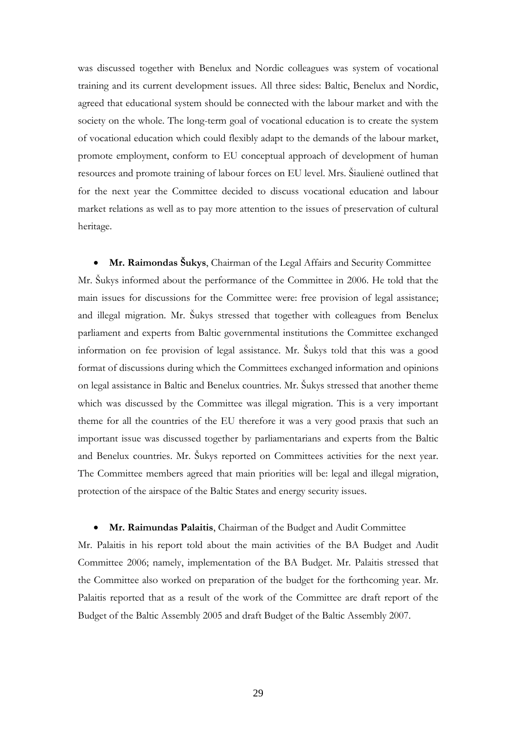was discussed together with Benelux and Nordic colleagues was system of vocational training and its current development issues. All three sides: Baltic, Benelux and Nordic, agreed that educational system should be connected with the labour market and with the society on the whole. The long-term goal of vocational education is to create the system of vocational education which could flexibly adapt to the demands of the labour market, promote employment, conform to EU conceptual approach of development of human resources and promote training of labour forces on EU level. Mrs. Šiaulienė outlined that for the next year the Committee decided to discuss vocational education and labour market relations as well as to pay more attention to the issues of preservation of cultural heritage.

• **Mr. Raimondas Šukys**, Chairman of the Legal Affairs and Security Committee Mr. Šukys informed about the performance of the Committee in 2006. He told that the main issues for discussions for the Committee were: free provision of legal assistance; and illegal migration. Mr. Šukys stressed that together with colleagues from Benelux parliament and experts from Baltic governmental institutions the Committee exchanged information on fee provision of legal assistance. Mr. Šukys told that this was a good format of discussions during which the Committees exchanged information and opinions on legal assistance in Baltic and Benelux countries. Mr. Šukys stressed that another theme which was discussed by the Committee was illegal migration. This is a very important theme for all the countries of the EU therefore it was a very good praxis that such an important issue was discussed together by parliamentarians and experts from the Baltic and Benelux countries. Mr. Šukys reported on Committees activities for the next year. The Committee members agreed that main priorities will be: legal and illegal migration, protection of the airspace of the Baltic States and energy security issues.

### • **Mr. Raimundas Palaitis**, Chairman of the Budget and Audit Committee

Mr. Palaitis in his report told about the main activities of the BA Budget and Audit Committee 2006; namely, implementation of the BA Budget. Mr. Palaitis stressed that the Committee also worked on preparation of the budget for the forthcoming year. Mr. Palaitis reported that as a result of the work of the Committee are draft report of the Budget of the Baltic Assembly 2005 and draft Budget of the Baltic Assembly 2007.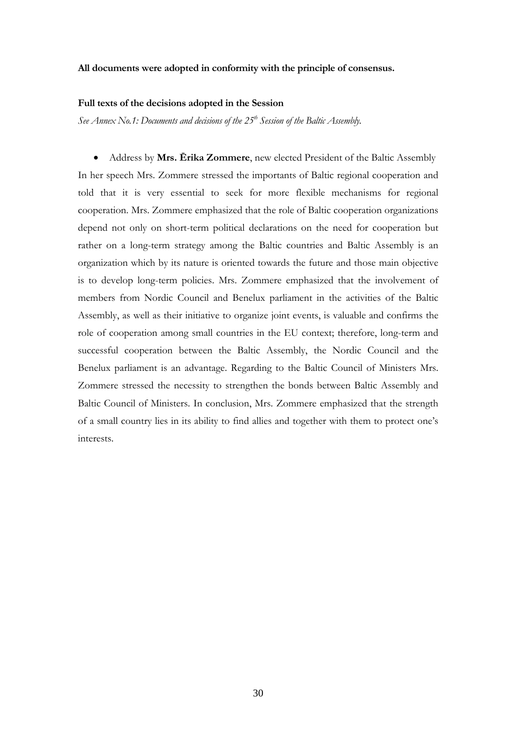#### **All documents were adopted in conformity with the principle of consensus.**

#### **Full texts of the decisions adopted in the Session**

See Annex No.1: Documents and decisions of the 25<sup>th</sup> Session of the Baltic Assembly.

• Address by **Mrs. Ērika Zommere**, new elected President of the Baltic Assembly In her speech Mrs. Zommere stressed the importants of Baltic regional cooperation and told that it is very essential to seek for more flexible mechanisms for regional cooperation. Mrs. Zommere emphasized that the role of Baltic cooperation organizations depend not only on short-term political declarations on the need for cooperation but rather on a long-term strategy among the Baltic countries and Baltic Assembly is an organization which by its nature is oriented towards the future and those main objective is to develop long-term policies. Mrs. Zommere emphasized that the involvement of members from Nordic Council and Benelux parliament in the activities of the Baltic Assembly, as well as their initiative to organize joint events, is valuable and confirms the role of cooperation among small countries in the EU context; therefore, long-term and successful cooperation between the Baltic Assembly, the Nordic Council and the Benelux parliament is an advantage. Regarding to the Baltic Council of Ministers Mrs. Zommere stressed the necessity to strengthen the bonds between Baltic Assembly and Baltic Council of Ministers. In conclusion, Mrs. Zommere emphasized that the strength of a small country lies in its ability to find allies and together with them to protect one's interests.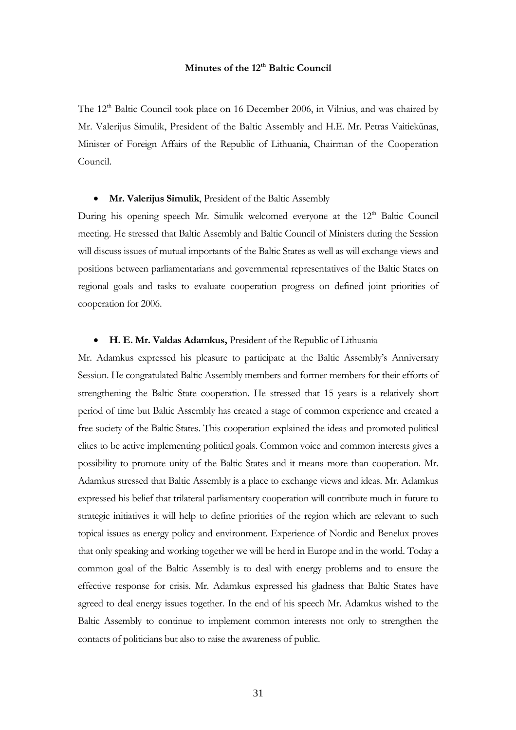# **Minutes of the 12th Baltic Council**

The  $12<sup>th</sup>$  Baltic Council took place on 16 December 2006, in Vilnius, and was chaired by Mr. Valerijus Simulik, President of the Baltic Assembly and H.E. Mr. Petras Vaitiekūnas, Minister of Foreign Affairs of the Republic of Lithuania, Chairman of the Cooperation Council.

#### • **Mr. Valerijus Simulik**, President of the Baltic Assembly

During his opening speech Mr. Simulik welcomed everyone at the 12<sup>th</sup> Baltic Council meeting. He stressed that Baltic Assembly and Baltic Council of Ministers during the Session will discuss issues of mutual importants of the Baltic States as well as will exchange views and positions between parliamentarians and governmental representatives of the Baltic States on regional goals and tasks to evaluate cooperation progress on defined joint priorities of cooperation for 2006.

#### • **H. E. Mr. Valdas Adamkus,** President of the Republic of Lithuania

Mr. Adamkus expressed his pleasure to participate at the Baltic Assembly's Anniversary Session. He congratulated Baltic Assembly members and former members for their efforts of strengthening the Baltic State cooperation. He stressed that 15 years is a relatively short period of time but Baltic Assembly has created a stage of common experience and created a free society of the Baltic States. This cooperation explained the ideas and promoted political elites to be active implementing political goals. Common voice and common interests gives a possibility to promote unity of the Baltic States and it means more than cooperation. Mr. Adamkus stressed that Baltic Assembly is a place to exchange views and ideas. Mr. Adamkus expressed his belief that trilateral parliamentary cooperation will contribute much in future to strategic initiatives it will help to define priorities of the region which are relevant to such topical issues as energy policy and environment. Experience of Nordic and Benelux proves that only speaking and working together we will be herd in Europe and in the world. Today a common goal of the Baltic Assembly is to deal with energy problems and to ensure the effective response for crisis. Mr. Adamkus expressed his gladness that Baltic States have agreed to deal energy issues together. In the end of his speech Mr. Adamkus wished to the Baltic Assembly to continue to implement common interests not only to strengthen the contacts of politicians but also to raise the awareness of public.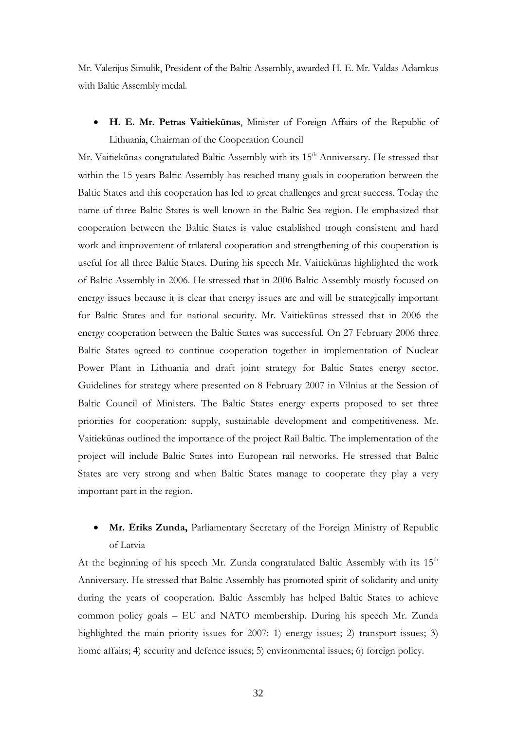Mr. Valerijus Simulik, President of the Baltic Assembly, awarded H. E. Mr. Valdas Adamkus with Baltic Assembly medal.

• **H. E. Mr. Petras Vaitiekūnas**, Minister of Foreign Affairs of the Republic of Lithuania, Chairman of the Cooperation Council

Mr. Vaitiekūnas congratulated Baltic Assembly with its 15<sup>th</sup> Anniversary. He stressed that within the 15 years Baltic Assembly has reached many goals in cooperation between the Baltic States and this cooperation has led to great challenges and great success. Today the name of three Baltic States is well known in the Baltic Sea region. He emphasized that cooperation between the Baltic States is value established trough consistent and hard work and improvement of trilateral cooperation and strengthening of this cooperation is useful for all three Baltic States. During his speech Mr. Vaitiekūnas highlighted the work of Baltic Assembly in 2006. He stressed that in 2006 Baltic Assembly mostly focused on energy issues because it is clear that energy issues are and will be strategically important for Baltic States and for national security. Mr. Vaitiekūnas stressed that in 2006 the energy cooperation between the Baltic States was successful. On 27 February 2006 three Baltic States agreed to continue cooperation together in implementation of Nuclear Power Plant in Lithuania and draft joint strategy for Baltic States energy sector. Guidelines for strategy where presented on 8 February 2007 in Vilnius at the Session of Baltic Council of Ministers. The Baltic States energy experts proposed to set three priorities for cooperation: supply, sustainable development and competitiveness. Mr. Vaitiekūnas outlined the importance of the project Rail Baltic. The implementation of the project will include Baltic States into European rail networks. He stressed that Baltic States are very strong and when Baltic States manage to cooperate they play a very important part in the region.

• **Mr. Eriks Zunda,** Parliamentary Secretary of the Foreign Ministry of Republic of Latvia

At the beginning of his speech Mr. Zunda congratulated Baltic Assembly with its  $15<sup>th</sup>$ Anniversary. He stressed that Baltic Assembly has promoted spirit of solidarity and unity during the years of cooperation. Baltic Assembly has helped Baltic States to achieve common policy goals – EU and NATO membership. During his speech Mr. Zunda highlighted the main priority issues for 2007: 1) energy issues; 2) transport issues; 3) home affairs; 4) security and defence issues; 5) environmental issues; 6) foreign policy.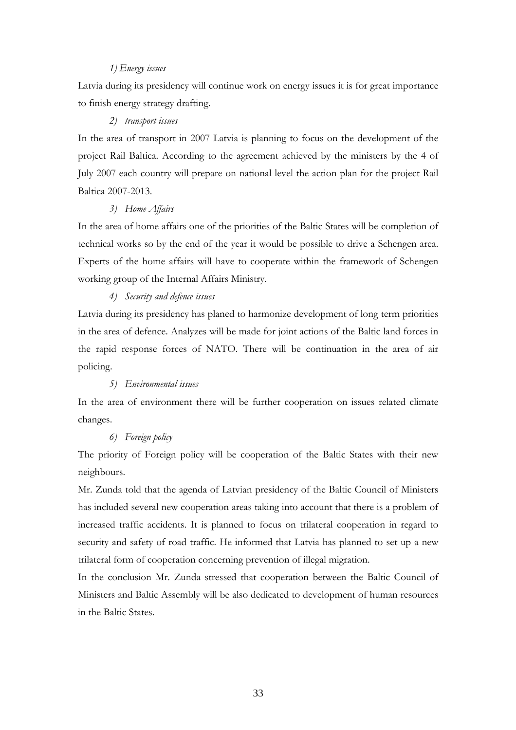### *1) Energy issues*

Latvia during its presidency will continue work on energy issues it is for great importance to finish energy strategy drafting.

#### *2) transport issues*

In the area of transport in 2007 Latvia is planning to focus on the development of the project Rail Baltica. According to the agreement achieved by the ministers by the 4 of July 2007 each country will prepare on national level the action plan for the project Rail Baltica 2007-2013.

### *3) Home Affairs*

In the area of home affairs one of the priorities of the Baltic States will be completion of technical works so by the end of the year it would be possible to drive a Schengen area. Experts of the home affairs will have to cooperate within the framework of Schengen working group of the Internal Affairs Ministry.

### *4) Security and defence issues*

Latvia during its presidency has planed to harmonize development of long term priorities in the area of defence. Analyzes will be made for joint actions of the Baltic land forces in the rapid response forces of NATO. There will be continuation in the area of air policing.

### *5) Environmental issues*

In the area of environment there will be further cooperation on issues related climate changes.

# *6) Foreign policy*

The priority of Foreign policy will be cooperation of the Baltic States with their new neighbours.

Mr. Zunda told that the agenda of Latvian presidency of the Baltic Council of Ministers has included several new cooperation areas taking into account that there is a problem of increased traffic accidents. It is planned to focus on trilateral cooperation in regard to security and safety of road traffic. He informed that Latvia has planned to set up a new trilateral form of cooperation concerning prevention of illegal migration.

In the conclusion Mr. Zunda stressed that cooperation between the Baltic Council of Ministers and Baltic Assembly will be also dedicated to development of human resources in the Baltic States.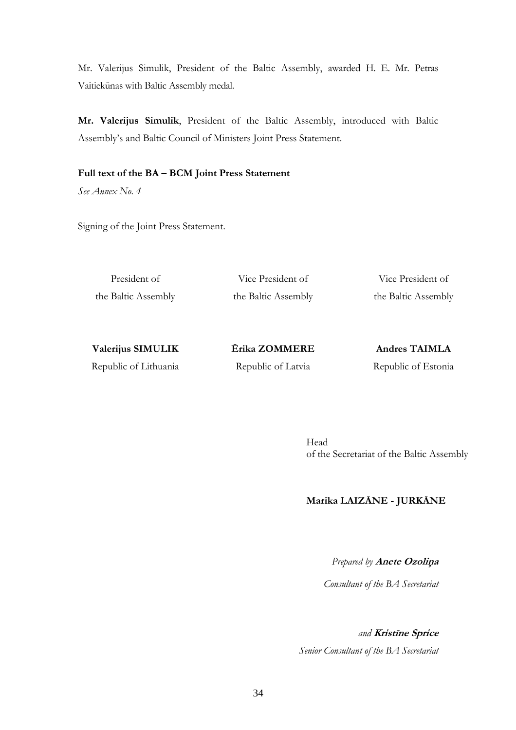Mr. Valerijus Simulik, President of the Baltic Assembly, awarded H. E. Mr. Petras Vaitiekūnas with Baltic Assembly medal.

**Mr. Valerijus Simulik**, President of the Baltic Assembly, introduced with Baltic Assembly's and Baltic Council of Ministers Joint Press Statement.

### **Full text of the BA – BCM Joint Press Statement**

*See Annex No. 4* 

Signing of the Joint Press Statement.

President of the Baltic Assembly

Vice President of the Baltic Assembly

Vice President of the Baltic Assembly

| <b>Valerijus SIMULIK</b> |  |
|--------------------------|--|
| Republic of Lithuania    |  |

**Ērika ZOMMERE**  Republic of Latvia

**Andres TAIMLA**  Republic of Estonia

Head of the Secretariat of the Baltic Assembly

# **Marika LAIZĀNE - JURKĀNE**

*Prepared by* **Anete Ozoliņ<sup>a</sup>**

 *Consultant of the BA Secretariat* 

*and* **Kristīne Sprice**  *Senior Consultant of the BA Secretariat*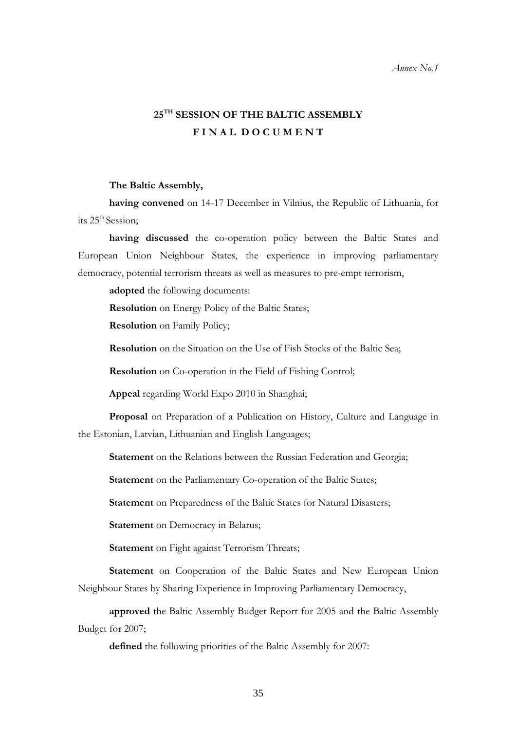### *Annex No.1*

# **25TH SESSION OF THE BALTIC ASSEMBLY F I N A L D O C U M E N T**

### **The Baltic Assembly,**

**having convened** on 14-17 December in Vilnius, the Republic of Lithuania, for its 25<sup>th</sup> Session:

**having discussed** the co-operation policy between the Baltic States and European Union Neighbour States, the experience in improving parliamentary democracy, potential terrorism threats as well as measures to pre-empt terrorism,

**adopted** the following documents:

**Resolution** on Energy Policy of the Baltic States;

**Resolution** on Family Policy;

**Resolution** on the Situation on the Use of Fish Stocks of the Baltic Sea;

**Resolution** on Co-operation in the Field of Fishing Control;

**Appeal** regarding World Expo 2010 in Shanghai;

**Proposal** on Preparation of a Publication on History, Culture and Language in the Estonian, Latvian, Lithuanian and English Languages;

**Statement** on the Relations between the Russian Federation and Georgia;

**Statement** on the Parliamentary Co-operation of the Baltic States;

**Statement** on Preparedness of the Baltic States for Natural Disasters;

**Statement** on Democracy in Belarus;

**Statement** on Fight against Terrorism Threats;

**Statement** on Cooperation of the Baltic States and New European Union Neighbour States by Sharing Experience in Improving Parliamentary Democracy,

**approved** the Baltic Assembly Budget Report for 2005 and the Baltic Assembly Budget for 2007;

**defined** the following priorities of the Baltic Assembly for 2007: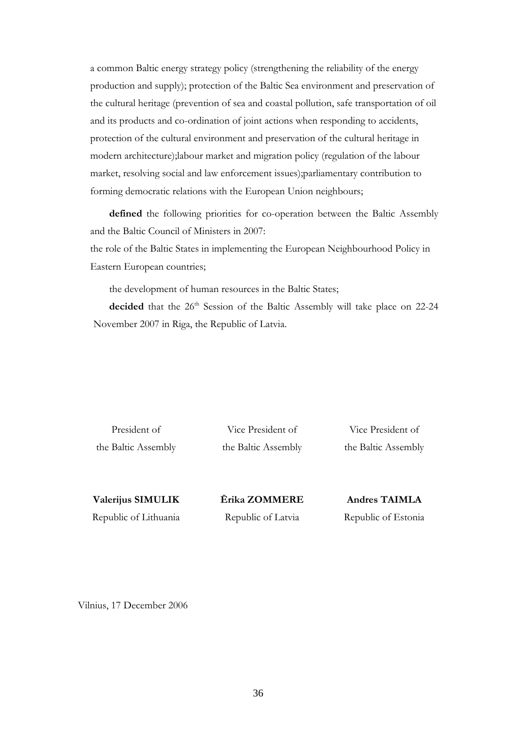a common Baltic energy strategy policy (strengthening the reliability of the energy production and supply); protection of the Baltic Sea environment and preservation of the cultural heritage (prevention of sea and coastal pollution, safe transportation of oil and its products and co-ordination of joint actions when responding to accidents, protection of the cultural environment and preservation of the cultural heritage in modern architecture);labour market and migration policy (regulation of the labour market, resolving social and law enforcement issues);parliamentary contribution to forming democratic relations with the European Union neighbours;

**defined** the following priorities for co-operation between the Baltic Assembly and the Baltic Council of Ministers in 2007:

the role of the Baltic States in implementing the European Neighbourhood Policy in Eastern European countries;

the development of human resources in the Baltic States;

decided that the 26<sup>th</sup> Session of the Baltic Assembly will take place on 22-24 November 2007 in Riga, the Republic of Latvia.

President of the Baltic Assembly

Vice President of the Baltic Assembly

Vice President of the Baltic Assembly

**Valerijus SIMULIK**  Republic of Lithuania **Ērika ZOMMERE**  Republic of Latvia

**Andres TAIMLA**  Republic of Estonia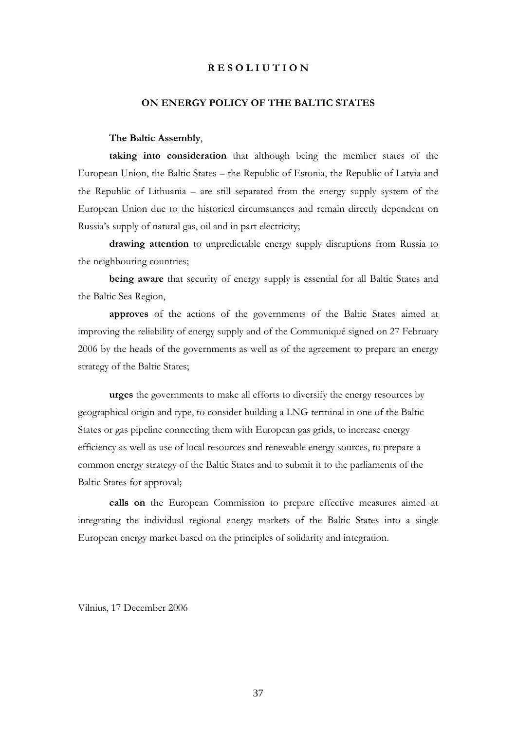### **R E S O L I U T I O N**

### **ON ENERGY POLICY OF THE BALTIC STATES**

#### **The Baltic Assembly**,

**taking into consideration** that although being the member states of the European Union, the Baltic States – the Republic of Estonia, the Republic of Latvia and the Republic of Lithuania – are still separated from the energy supply system of the European Union due to the historical circumstances and remain directly dependent on Russia's supply of natural gas, oil and in part electricity;

**drawing attention** to unpredictable energy supply disruptions from Russia to the neighbouring countries;

**being aware** that security of energy supply is essential for all Baltic States and the Baltic Sea Region,

**approves** of the actions of the governments of the Baltic States aimed at improving the reliability of energy supply and of the Communiqué signed on 27 February 2006 by the heads of the governments as well as of the agreement to prepare an energy strategy of the Baltic States;

**urges** the governments to make all efforts to diversify the energy resources by geographical origin and type, to consider building a LNG terminal in one of the Baltic States or gas pipeline connecting them with European gas grids, to increase energy efficiency as well as use of local resources and renewable energy sources, to prepare a common energy strategy of the Baltic States and to submit it to the parliaments of the Baltic States for approval;

**calls on** the European Commission to prepare effective measures aimed at integrating the individual regional energy markets of the Baltic States into a single European energy market based on the principles of solidarity and integration.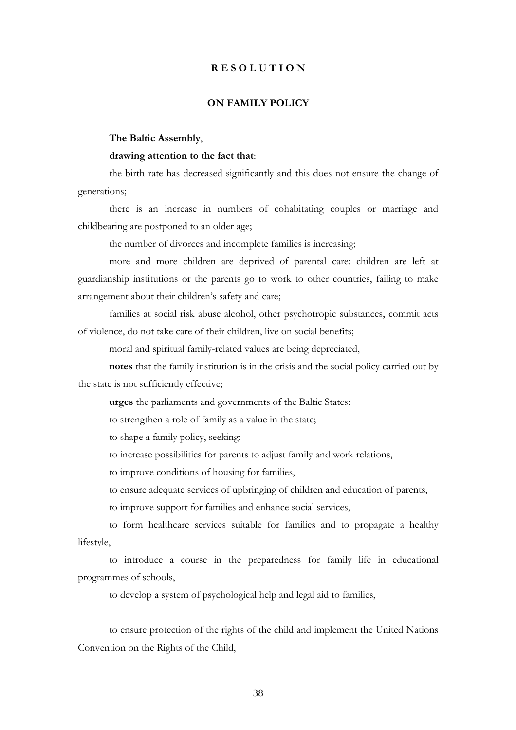### **R E S O L U T I O N**

### **ON FAMILY POLICY**

**The Baltic Assembly**,

### **drawing attention to the fact that**:

the birth rate has decreased significantly and this does not ensure the change of generations;

there is an increase in numbers of cohabitating couples or marriage and childbearing are postponed to an older age;

the number of divorces and incomplete families is increasing;

more and more children are deprived of parental care: children are left at guardianship institutions or the parents go to work to other countries, failing to make arrangement about their children's safety and care;

families at social risk abuse alcohol, other psychotropic substances, commit acts of violence, do not take care of their children, live on social benefits;

moral and spiritual family-related values are being depreciated,

**notes** that the family institution is in the crisis and the social policy carried out by the state is not sufficiently effective;

**urges** the parliaments and governments of the Baltic States:

to strengthen a role of family as a value in the state;

to shape a family policy, seeking:

to increase possibilities for parents to adjust family and work relations,

to improve conditions of housing for families,

to ensure adequate services of upbringing of children and education of parents,

to improve support for families and enhance social services,

to form healthcare services suitable for families and to propagate a healthy lifestyle,

to introduce a course in the preparedness for family life in educational programmes of schools,

to develop a system of psychological help and legal aid to families,

to ensure protection of the rights of the child and implement the United Nations Convention on the Rights of the Child,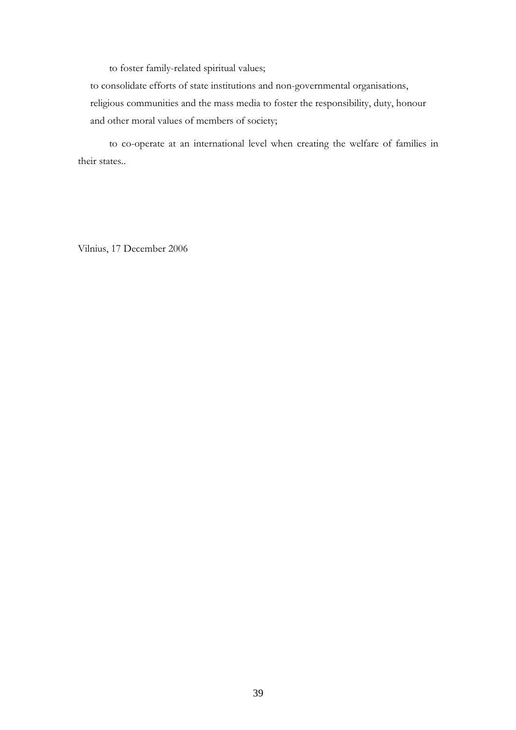to foster family-related spiritual values;

to consolidate efforts of state institutions and non-governmental organisations, religious communities and the mass media to foster the responsibility, duty, honour and other moral values of members of society;

to co-operate at an international level when creating the welfare of families in their states..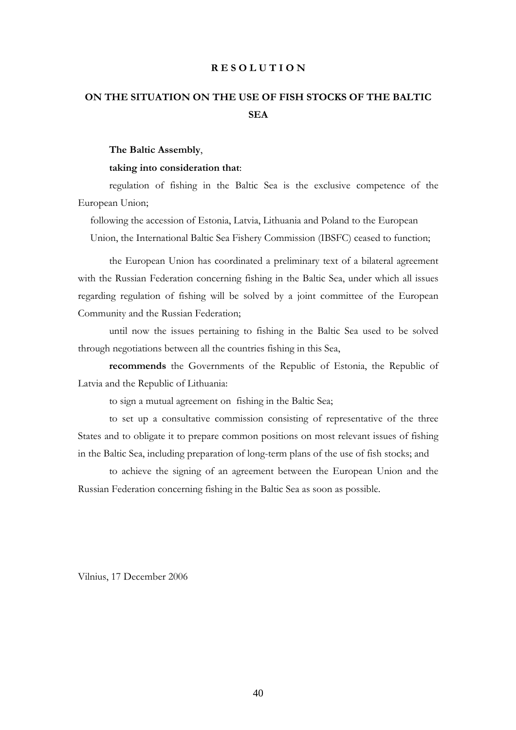#### **R E S O L U T I O N**

# **ON THE SITUATION ON THE USE OF FISH STOCKS OF THE BALTIC SEA**

#### **The Baltic Assembly**,

#### **taking into consideration that**:

regulation of fishing in the Baltic Sea is the exclusive competence of the European Union;

following the accession of Estonia, Latvia, Lithuania and Poland to the European Union, the International Baltic Sea Fishery Commission (IBSFC) ceased to function;

the European Union has coordinated a preliminary text of a bilateral agreement with the Russian Federation concerning fishing in the Baltic Sea, under which all issues regarding regulation of fishing will be solved by a joint committee of the European Community and the Russian Federation;

until now the issues pertaining to fishing in the Baltic Sea used to be solved through negotiations between all the countries fishing in this Sea,

**recommends** the Governments of the Republic of Estonia, the Republic of Latvia and the Republic of Lithuania:

to sign a mutual agreement on fishing in the Baltic Sea;

to set up a consultative commission consisting of representative of the three States and to obligate it to prepare common positions on most relevant issues of fishing in the Baltic Sea, including preparation of long-term plans of the use of fish stocks; and

to achieve the signing of an agreement between the European Union and the Russian Federation concerning fishing in the Baltic Sea as soon as possible.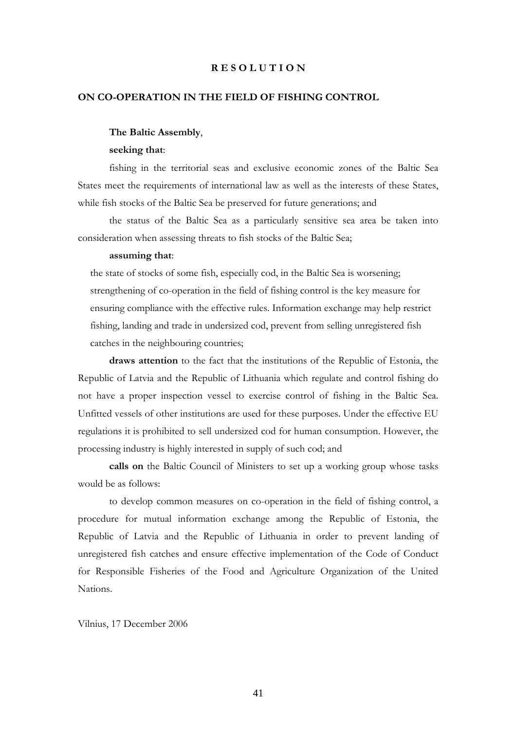#### **R E S O L U T I O N**

#### **ON CO-OPERATION IN THE FIELD OF FISHING CONTROL**

#### **The Baltic Assembly**,

### **seeking that**:

fishing in the territorial seas and exclusive economic zones of the Baltic Sea States meet the requirements of international law as well as the interests of these States, while fish stocks of the Baltic Sea be preserved for future generations; and

the status of the Baltic Sea as a particularly sensitive sea area be taken into consideration when assessing threats to fish stocks of the Baltic Sea;

#### **assuming that**:

the state of stocks of some fish, especially cod, in the Baltic Sea is worsening; strengthening of co-operation in the field of fishing control is the key measure for ensuring compliance with the effective rules. Information exchange may help restrict fishing, landing and trade in undersized cod, prevent from selling unregistered fish catches in the neighbouring countries;

**draws attention** to the fact that the institutions of the Republic of Estonia, the Republic of Latvia and the Republic of Lithuania which regulate and control fishing do not have a proper inspection vessel to exercise control of fishing in the Baltic Sea. Unfitted vessels of other institutions are used for these purposes. Under the effective EU regulations it is prohibited to sell undersized cod for human consumption. However, the processing industry is highly interested in supply of such cod; and

**calls on** the Baltic Council of Ministers to set up a working group whose tasks would be as follows:

to develop common measures on co-operation in the field of fishing control, a procedure for mutual information exchange among the Republic of Estonia, the Republic of Latvia and the Republic of Lithuania in order to prevent landing of unregistered fish catches and ensure effective implementation of the Code of Conduct for Responsible Fisheries of the Food and Agriculture Organization of the United Nations.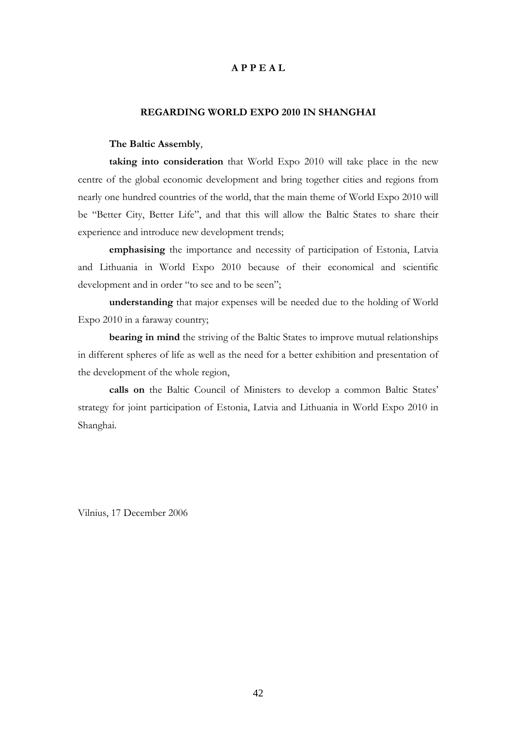### **A P P E A L**

### **REGARDING WORLD EXPO 2010 IN SHANGHAI**

#### **The Baltic Assembly**,

**taking into consideration** that World Expo 2010 will take place in the new centre of the global economic development and bring together cities and regions from nearly one hundred countries of the world, that the main theme of World Expo 2010 will be "Better City, Better Life", and that this will allow the Baltic States to share their experience and introduce new development trends;

**emphasising** the importance and necessity of participation of Estonia, Latvia and Lithuania in World Expo 2010 because of their economical and scientific development and in order "to see and to be seen";

**understanding** that major expenses will be needed due to the holding of World Expo 2010 in a faraway country;

**bearing in mind** the striving of the Baltic States to improve mutual relationships in different spheres of life as well as the need for a better exhibition and presentation of the development of the whole region,

**calls on** the Baltic Council of Ministers to develop a common Baltic States' strategy for joint participation of Estonia, Latvia and Lithuania in World Expo 2010 in Shanghai.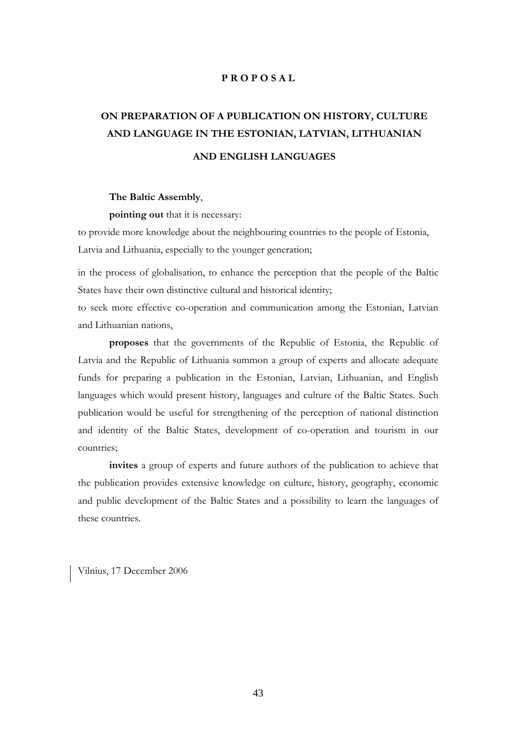### **P R O P O S A L**

# **ON PREPARATION OF A PUBLICATION ON HISTORY, CULTURE AND LANGUAGE IN THE ESTONIAN, LATVIAN, LITHUANIAN AND ENGLISH LANGUAGES**

#### **The Baltic Assembly**,

**pointing out** that it is necessary:

to provide more knowledge about the neighbouring countries to the people of Estonia, Latvia and Lithuania, especially to the younger generation;

in the process of globalisation, to enhance the perception that the people of the Baltic States have their own distinctive cultural and historical identity;

to seek more effective co-operation and communication among the Estonian, Latvian and Lithuanian nations,

**proposes** that the governments of the Republic of Estonia, the Republic of Latvia and the Republic of Lithuania summon a group of experts and allocate adequate funds for preparing a publication in the Estonian, Latvian, Lithuanian, and English languages which would present history, languages and culture of the Baltic States. Such publication would be useful for strengthening of the perception of national distinction and identity of the Baltic States, development of co-operation and tourism in our countries;

**invites** a group of experts and future authors of the publication to achieve that the publication provides extensive knowledge on culture, history, geography, economic and public development of the Baltic States and a possibility to learn the languages of these countries.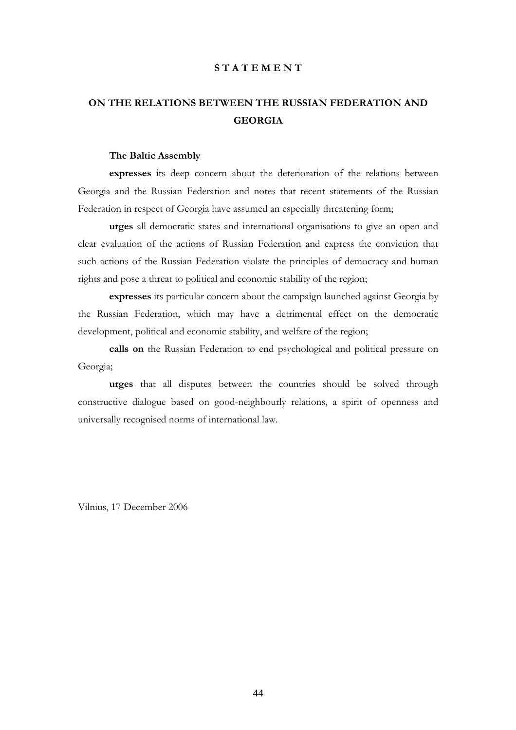# **ON THE RELATIONS BETWEEN THE RUSSIAN FEDERATION AND GEORGIA**

### **The Baltic Assembly**

**expresses** its deep concern about the deterioration of the relations between Georgia and the Russian Federation and notes that recent statements of the Russian Federation in respect of Georgia have assumed an especially threatening form;

**urges** all democratic states and international organisations to give an open and clear evaluation of the actions of Russian Federation and express the conviction that such actions of the Russian Federation violate the principles of democracy and human rights and pose a threat to political and economic stability of the region;

**expresses** its particular concern about the campaign launched against Georgia by the Russian Federation, which may have a detrimental effect on the democratic development, political and economic stability, and welfare of the region;

**calls on** the Russian Federation to end psychological and political pressure on Georgia;

**urges** that all disputes between the countries should be solved through constructive dialogue based on good-neighbourly relations, a spirit of openness and universally recognised norms of international law.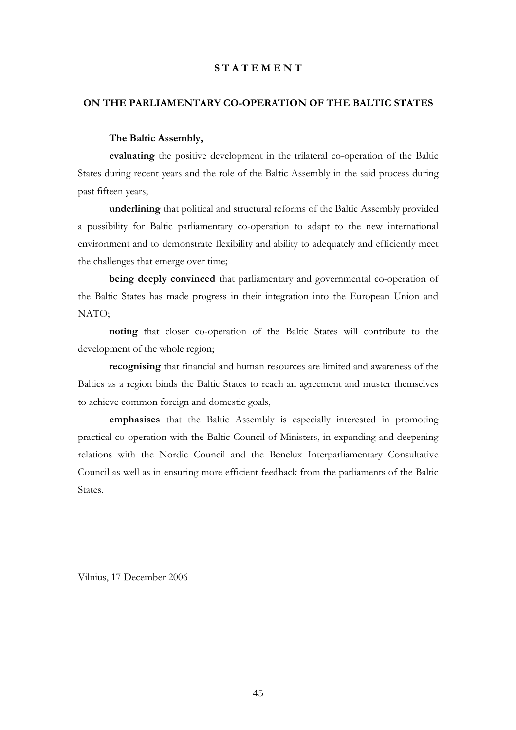# **ON THE PARLIAMENTARY CO-OPERATION OF THE BALTIC STATES**

### **The Baltic Assembly,**

**evaluating** the positive development in the trilateral co-operation of the Baltic States during recent years and the role of the Baltic Assembly in the said process during past fifteen years;

**underlining** that political and structural reforms of the Baltic Assembly provided a possibility for Baltic parliamentary co-operation to adapt to the new international environment and to demonstrate flexibility and ability to adequately and efficiently meet the challenges that emerge over time;

**being deeply convinced** that parliamentary and governmental co-operation of the Baltic States has made progress in their integration into the European Union and NATO;

**noting** that closer co-operation of the Baltic States will contribute to the development of the whole region;

**recognising** that financial and human resources are limited and awareness of the Baltics as a region binds the Baltic States to reach an agreement and muster themselves to achieve common foreign and domestic goals,

**emphasises** that the Baltic Assembly is especially interested in promoting practical co-operation with the Baltic Council of Ministers, in expanding and deepening relations with the Nordic Council and the Benelux Interparliamentary Consultative Council as well as in ensuring more efficient feedback from the parliaments of the Baltic States.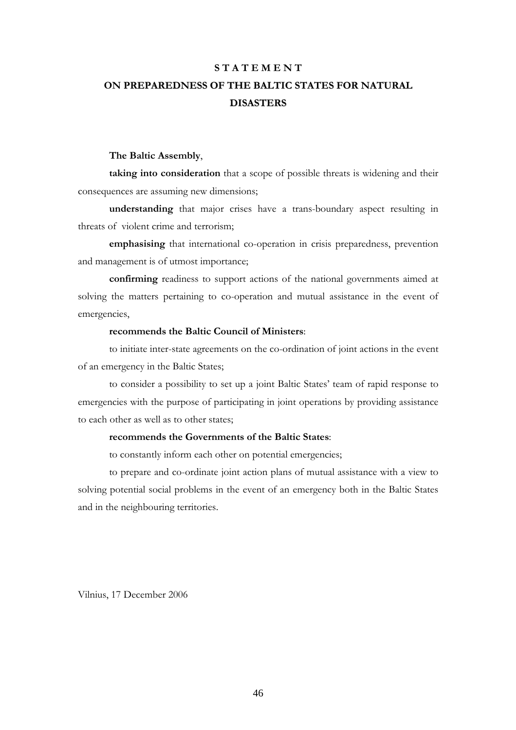# **S T A T E M E N T ON PREPAREDNESS OF THE BALTIC STATES FOR NATURAL DISASTERS**

### **The Baltic Assembly**,

**taking into consideration** that a scope of possible threats is widening and their consequences are assuming new dimensions;

**understanding** that major crises have a trans-boundary aspect resulting in threats of violent crime and terrorism;

**emphasising** that international co-operation in crisis preparedness, prevention and management is of utmost importance;

**confirming** readiness to support actions of the national governments aimed at solving the matters pertaining to co-operation and mutual assistance in the event of emergencies,

### **recommends the Baltic Council of Ministers**:

to initiate inter-state agreements on the co-ordination of joint actions in the event of an emergency in the Baltic States;

to consider a possibility to set up a joint Baltic States' team of rapid response to emergencies with the purpose of participating in joint operations by providing assistance to each other as well as to other states;

# **recommends the Governments of the Baltic States**:

to constantly inform each other on potential emergencies;

to prepare and co-ordinate joint action plans of mutual assistance with a view to solving potential social problems in the event of an emergency both in the Baltic States and in the neighbouring territories.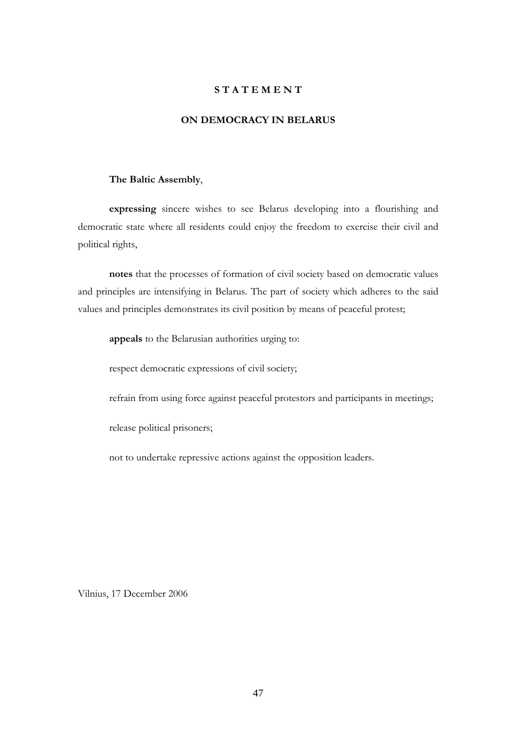### **ON DEMOCRACY IN BELARUS**

#### **The Baltic Assembly**,

**expressing** sincere wishes to see Belarus developing into a flourishing and democratic state where all residents could enjoy the freedom to exercise their civil and political rights,

**notes** that the processes of formation of civil society based on democratic values and principles are intensifying in Belarus. The part of society which adheres to the said values and principles demonstrates its civil position by means of peaceful protest;

**appeals** to the Belarusian authorities urging to:

respect democratic expressions of civil society;

refrain from using force against peaceful protestors and participants in meetings;

release political prisoners;

not to undertake repressive actions against the opposition leaders.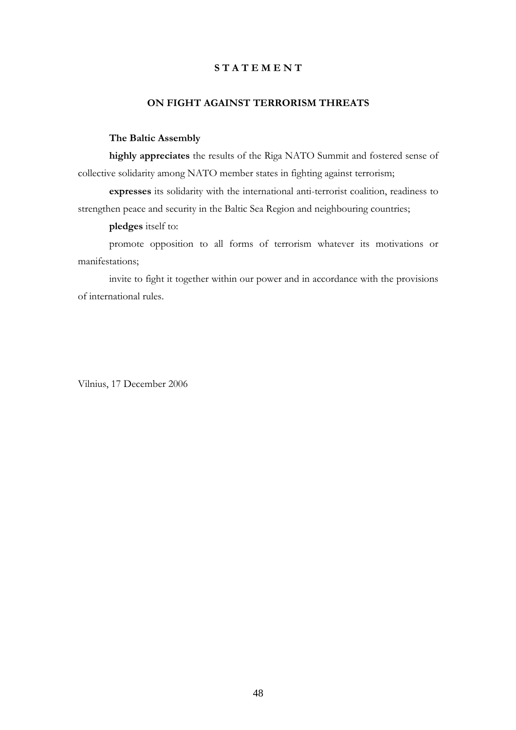# **ON FIGHT AGAINST TERRORISM THREATS**

# **The Baltic Assembly**

**highly appreciates** the results of the Riga NATO Summit and fostered sense of collective solidarity among NATO member states in fighting against terrorism;

**expresses** its solidarity with the international anti-terrorist coalition, readiness to strengthen peace and security in the Baltic Sea Region and neighbouring countries;

**pledges** itself to:

promote opposition to all forms of terrorism whatever its motivations or manifestations;

invite to fight it together within our power and in accordance with the provisions of international rules.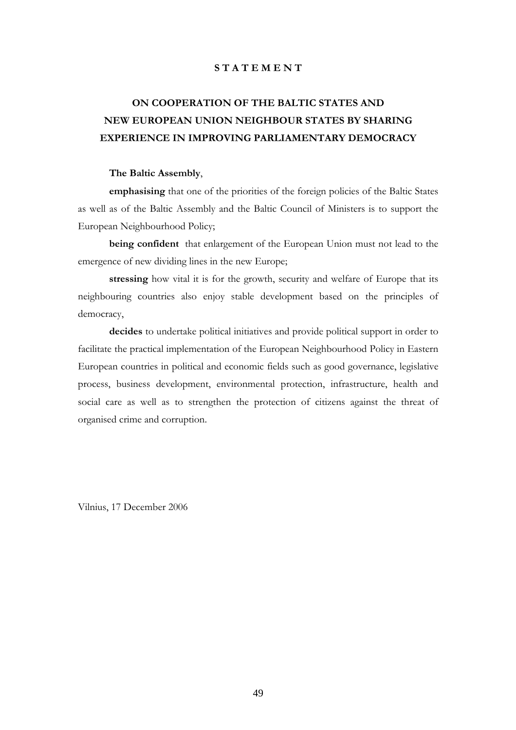# **ON COOPERATION OF THE BALTIC STATES AND NEW EUROPEAN UNION NEIGHBOUR STATES BY SHARING EXPERIENCE IN IMPROVING PARLIAMENTARY DEMOCRACY**

#### **The Baltic Assembly**,

**emphasising** that one of the priorities of the foreign policies of the Baltic States as well as of the Baltic Assembly and the Baltic Council of Ministers is to support the European Neighbourhood Policy;

**being confident** that enlargement of the European Union must not lead to the emergence of new dividing lines in the new Europe;

**stressing** how vital it is for the growth, security and welfare of Europe that its neighbouring countries also enjoy stable development based on the principles of democracy,

**decides** to undertake political initiatives and provide political support in order to facilitate the practical implementation of the European Neighbourhood Policy in Eastern European countries in political and economic fields such as good governance, legislative process, business development, environmental protection, infrastructure, health and social care as well as to strengthen the protection of citizens against the threat of organised crime and corruption.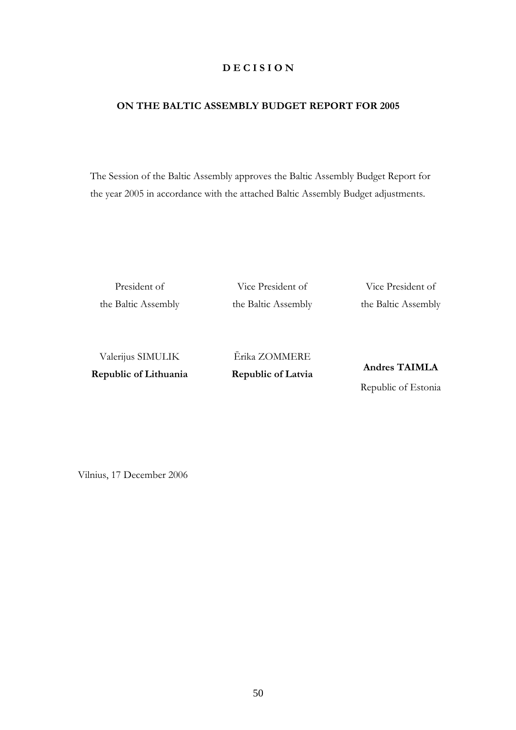# **D E C I S I O N**

# **ON THE BALTIC ASSEMBLY BUDGET REPORT FOR 2005**

The Session of the Baltic Assembly approves the Baltic Assembly Budget Report for the year 2005 in accordance with the attached Baltic Assembly Budget adjustments.

President of the Baltic Assembly

Vice President of the Baltic Assembly

Vice President of the Baltic Assembly

Valerijus SIMULIK **Republic of Lithuania**  Ērika ZOMMERE **Republic of Latvia**

**Andres TAIMLA**  Republic of Estonia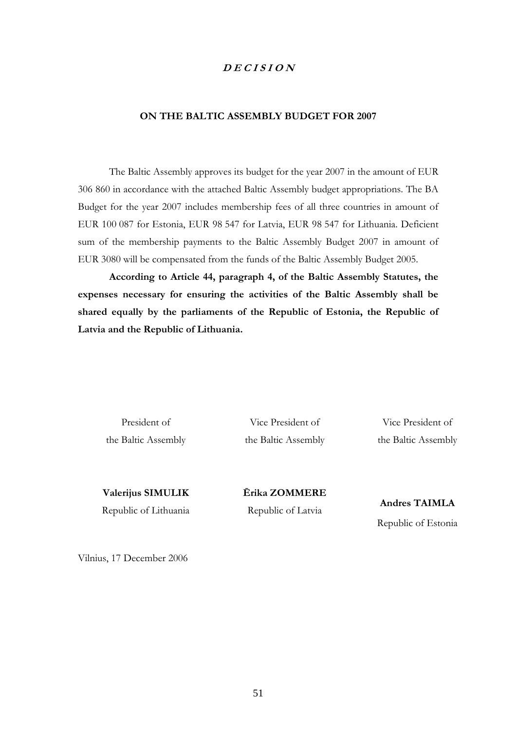# **D E C I S I O N**

### **ON THE BALTIC ASSEMBLY BUDGET FOR 2007**

The Baltic Assembly approves its budget for the year 2007 in the amount of EUR 306 860 in accordance with the attached Baltic Assembly budget appropriations. The BA Budget for the year 2007 includes membership fees of all three countries in amount of EUR 100 087 for Estonia, EUR 98 547 for Latvia, EUR 98 547 for Lithuania. Deficient sum of the membership payments to the Baltic Assembly Budget 2007 in amount of EUR 3080 will be compensated from the funds of the Baltic Assembly Budget 2005.

**According to Article 44, paragraph 4, of the Baltic Assembly Statutes, the expenses necessary for ensuring the activities of the Baltic Assembly shall be shared equally by the parliaments of the Republic of Estonia, the Republic of Latvia and the Republic of Lithuania.** 

President of the Baltic Assembly

Vice President of the Baltic Assembly

Vice President of the Baltic Assembly

**Valerijus SIMULIK**  Republic of Lithuania **Ērika ZOMMERE**  Republic of Latvia

**Andres TAIMLA**  Republic of Estonia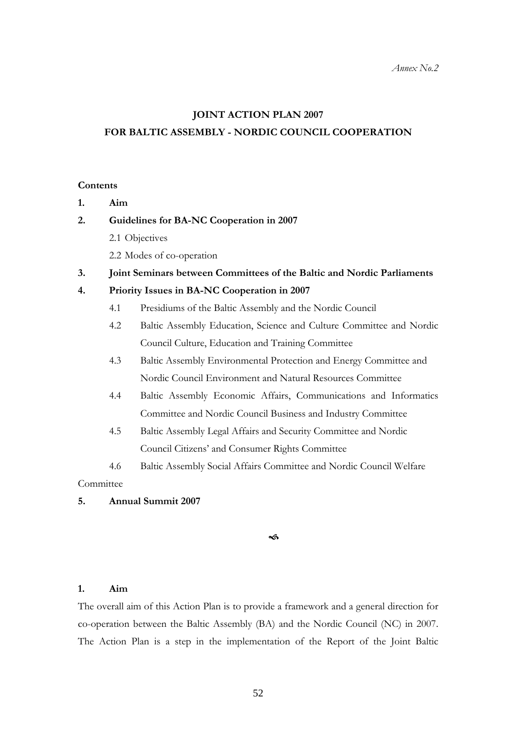#### **JOINT ACTION PLAN 2007**

# **FOR BALTIC ASSEMBLY - NORDIC COUNCIL COOPERATION**

### **Contents**

**1. Aim** 

#### **2. Guidelines for BA-NC Cooperation in 2007**

- 2.1 Objectives
- 2.2 Modes of co-operation
- **3. Joint Seminars between Committees of the Baltic and Nordic Parliaments**

# **4. Priority Issues in BA-NC Cooperation in 2007**

- 4.1 Presidiums of the Baltic Assembly and the Nordic Council
- 4.2 Baltic Assembly Education, Science and Culture Committee and Nordic Council Culture, Education and Training Committee
- 4.3 Baltic Assembly Environmental Protection and Energy Committee and Nordic Council Environment and Natural Resources Committee
- 4.4 Baltic Assembly Economic Affairs, Communications and Informatics Committee and Nordic Council Business and Industry Committee
- 4.5 Baltic Assembly Legal Affairs and Security Committee and Nordic Council Citizens' and Consumer Rights Committee
- 4.6 Baltic Assembly Social Affairs Committee and Nordic Council Welfare

Committee

# **5. Annual Summit 2007**

#### $\rightsquigarrow$

# **1. Aim**

The overall aim of this Action Plan is to provide a framework and a general direction for co-operation between the Baltic Assembly (BA) and the Nordic Council (NC) in 2007. The Action Plan is a step in the implementation of the Report of the Joint Baltic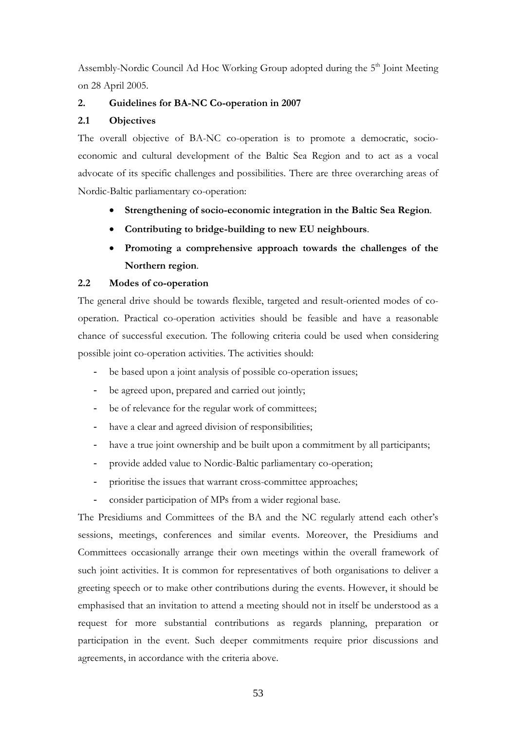Assembly-Nordic Council Ad Hoc Working Group adopted during the 5<sup>th</sup> Joint Meeting on 28 April 2005.

# **2. Guidelines for BA-NC Co-operation in 2007**

# **2.1 Objectives**

The overall objective of BA-NC co-operation is to promote a democratic, socioeconomic and cultural development of the Baltic Sea Region and to act as a vocal advocate of its specific challenges and possibilities. There are three overarching areas of Nordic-Baltic parliamentary co-operation:

- **Strengthening of socio-economic integration in the Baltic Sea Region**.
- **Contributing to bridge-building to new EU neighbours**.
- **Promoting a comprehensive approach towards the challenges of the Northern region**.

# **2.2 Modes of co-operation**

The general drive should be towards flexible, targeted and result-oriented modes of cooperation. Practical co-operation activities should be feasible and have a reasonable chance of successful execution. The following criteria could be used when considering possible joint co-operation activities. The activities should:

- be based upon a joint analysis of possible co-operation issues;
- be agreed upon, prepared and carried out jointly;
- be of relevance for the regular work of committees;
- have a clear and agreed division of responsibilities;
- have a true joint ownership and be built upon a commitment by all participants;
- provide added value to Nordic-Baltic parliamentary co-operation;
- prioritise the issues that warrant cross-committee approaches;
- consider participation of MPs from a wider regional base.

The Presidiums and Committees of the BA and the NC regularly attend each other's sessions, meetings, conferences and similar events. Moreover, the Presidiums and Committees occasionally arrange their own meetings within the overall framework of such joint activities. It is common for representatives of both organisations to deliver a greeting speech or to make other contributions during the events. However, it should be emphasised that an invitation to attend a meeting should not in itself be understood as a request for more substantial contributions as regards planning, preparation or participation in the event. Such deeper commitments require prior discussions and agreements, in accordance with the criteria above.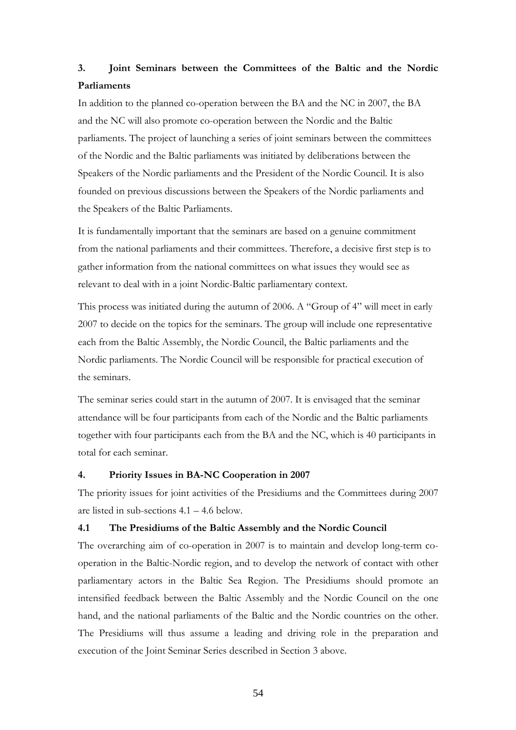# **3. Joint Seminars between the Committees of the Baltic and the Nordic Parliaments**

In addition to the planned co-operation between the BA and the NC in 2007, the BA and the NC will also promote co-operation between the Nordic and the Baltic parliaments. The project of launching a series of joint seminars between the committees of the Nordic and the Baltic parliaments was initiated by deliberations between the Speakers of the Nordic parliaments and the President of the Nordic Council. It is also founded on previous discussions between the Speakers of the Nordic parliaments and the Speakers of the Baltic Parliaments.

It is fundamentally important that the seminars are based on a genuine commitment from the national parliaments and their committees. Therefore, a decisive first step is to gather information from the national committees on what issues they would see as relevant to deal with in a joint Nordic-Baltic parliamentary context.

This process was initiated during the autumn of 2006. A "Group of 4" will meet in early 2007 to decide on the topics for the seminars. The group will include one representative each from the Baltic Assembly, the Nordic Council, the Baltic parliaments and the Nordic parliaments. The Nordic Council will be responsible for practical execution of the seminars.

The seminar series could start in the autumn of 2007. It is envisaged that the seminar attendance will be four participants from each of the Nordic and the Baltic parliaments together with four participants each from the BA and the NC, which is 40 participants in total for each seminar.

### **4. Priority Issues in BA-NC Cooperation in 2007**

The priority issues for joint activities of the Presidiums and the Committees during 2007 are listed in sub-sections 4.1 – 4.6 below.

# **4.1 The Presidiums of the Baltic Assembly and the Nordic Council**

The overarching aim of co-operation in 2007 is to maintain and develop long-term cooperation in the Baltic-Nordic region, and to develop the network of contact with other parliamentary actors in the Baltic Sea Region. The Presidiums should promote an intensified feedback between the Baltic Assembly and the Nordic Council on the one hand, and the national parliaments of the Baltic and the Nordic countries on the other. The Presidiums will thus assume a leading and driving role in the preparation and execution of the Joint Seminar Series described in Section 3 above.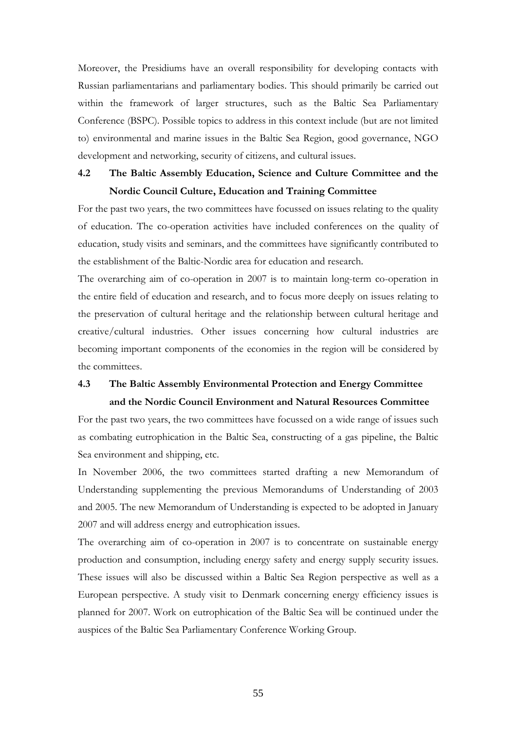Moreover, the Presidiums have an overall responsibility for developing contacts with Russian parliamentarians and parliamentary bodies. This should primarily be carried out within the framework of larger structures, such as the Baltic Sea Parliamentary Conference (BSPC). Possible topics to address in this context include (but are not limited to) environmental and marine issues in the Baltic Sea Region, good governance, NGO development and networking, security of citizens, and cultural issues.

# **4.2 The Baltic Assembly Education, Science and Culture Committee and the Nordic Council Culture, Education and Training Committee**

For the past two years, the two committees have focussed on issues relating to the quality of education. The co-operation activities have included conferences on the quality of education, study visits and seminars, and the committees have significantly contributed to the establishment of the Baltic-Nordic area for education and research.

The overarching aim of co-operation in 2007 is to maintain long-term co-operation in the entire field of education and research, and to focus more deeply on issues relating to the preservation of cultural heritage and the relationship between cultural heritage and creative/cultural industries. Other issues concerning how cultural industries are becoming important components of the economies in the region will be considered by the committees.

# **4.3 The Baltic Assembly Environmental Protection and Energy Committee and the Nordic Council Environment and Natural Resources Committee**

For the past two years, the two committees have focussed on a wide range of issues such as combating eutrophication in the Baltic Sea, constructing of a gas pipeline, the Baltic Sea environment and shipping, etc.

In November 2006, the two committees started drafting a new Memorandum of Understanding supplementing the previous Memorandums of Understanding of 2003 and 2005. The new Memorandum of Understanding is expected to be adopted in January 2007 and will address energy and eutrophication issues.

The overarching aim of co-operation in 2007 is to concentrate on sustainable energy production and consumption, including energy safety and energy supply security issues. These issues will also be discussed within a Baltic Sea Region perspective as well as a European perspective. A study visit to Denmark concerning energy efficiency issues is planned for 2007. Work on eutrophication of the Baltic Sea will be continued under the auspices of the Baltic Sea Parliamentary Conference Working Group.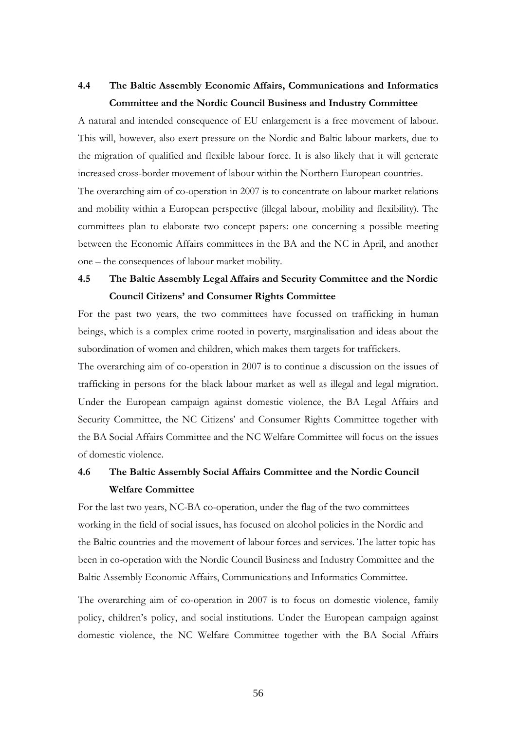# **4.4 The Baltic Assembly Economic Affairs, Communications and Informatics Committee and the Nordic Council Business and Industry Committee**

A natural and intended consequence of EU enlargement is a free movement of labour. This will, however, also exert pressure on the Nordic and Baltic labour markets, due to the migration of qualified and flexible labour force. It is also likely that it will generate increased cross-border movement of labour within the Northern European countries. The overarching aim of co-operation in 2007 is to concentrate on labour market relations and mobility within a European perspective (illegal labour, mobility and flexibility). The committees plan to elaborate two concept papers: one concerning a possible meeting between the Economic Affairs committees in the BA and the NC in April, and another one – the consequences of labour market mobility.

# **4.5 The Baltic Assembly Legal Affairs and Security Committee and the Nordic Council Citizens' and Consumer Rights Committee**

For the past two years, the two committees have focussed on trafficking in human beings, which is a complex crime rooted in poverty, marginalisation and ideas about the subordination of women and children, which makes them targets for traffickers.

The overarching aim of co-operation in 2007 is to continue a discussion on the issues of trafficking in persons for the black labour market as well as illegal and legal migration. Under the European campaign against domestic violence, the BA Legal Affairs and Security Committee, the NC Citizens' and Consumer Rights Committee together with the BA Social Affairs Committee and the NC Welfare Committee will focus on the issues of domestic violence.

# **4.6 The Baltic Assembly Social Affairs Committee and the Nordic Council Welfare Committee**

For the last two years, NC-BA co-operation, under the flag of the two committees working in the field of social issues, has focused on alcohol policies in the Nordic and the Baltic countries and the movement of labour forces and services. The latter topic has been in co-operation with the Nordic Council Business and Industry Committee and the Baltic Assembly Economic Affairs, Communications and Informatics Committee.

The overarching aim of co-operation in 2007 is to focus on domestic violence, family policy, children's policy, and social institutions. Under the European campaign against domestic violence, the NC Welfare Committee together with the BA Social Affairs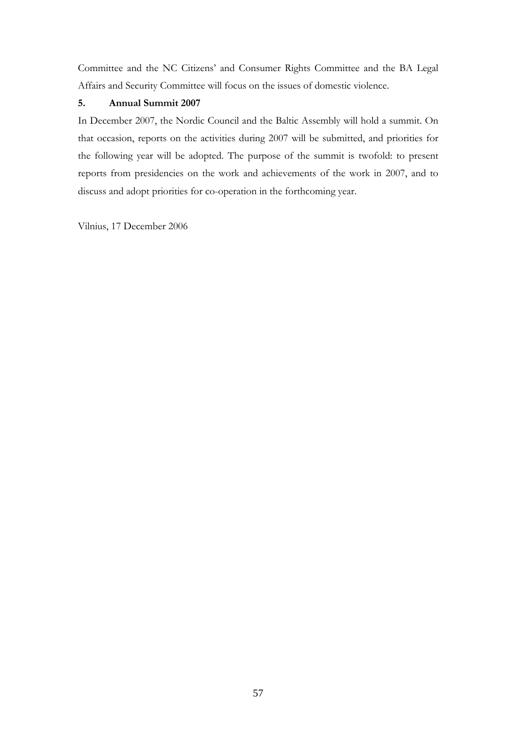Committee and the NC Citizens' and Consumer Rights Committee and the BA Legal Affairs and Security Committee will focus on the issues of domestic violence.

# **5. Annual Summit 2007**

In December 2007, the Nordic Council and the Baltic Assembly will hold a summit. On that occasion, reports on the activities during 2007 will be submitted, and priorities for the following year will be adopted. The purpose of the summit is twofold: to present reports from presidencies on the work and achievements of the work in 2007, and to discuss and adopt priorities for co-operation in the forthcoming year.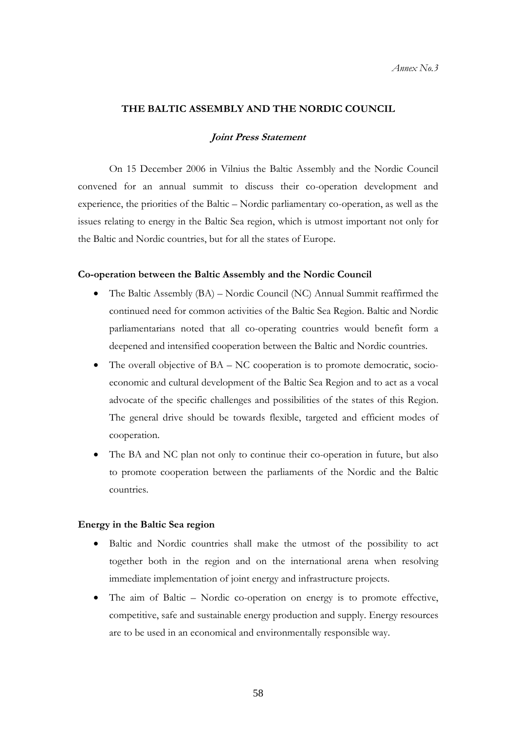# **THE BALTIC ASSEMBLY AND THE NORDIC COUNCIL**

# **Joint Press Statement**

On 15 December 2006 in Vilnius the Baltic Assembly and the Nordic Council convened for an annual summit to discuss their co-operation development and experience, the priorities of the Baltic – Nordic parliamentary co-operation, as well as the issues relating to energy in the Baltic Sea region, which is utmost important not only for the Baltic and Nordic countries, but for all the states of Europe.

#### **Co-operation between the Baltic Assembly and the Nordic Council**

- The Baltic Assembly (BA) Nordic Council (NC) Annual Summit reaffirmed the continued need for common activities of the Baltic Sea Region. Baltic and Nordic parliamentarians noted that all co-operating countries would benefit form a deepened and intensified cooperation between the Baltic and Nordic countries.
- The overall objective of BA NC cooperation is to promote democratic, socioeconomic and cultural development of the Baltic Sea Region and to act as a vocal advocate of the specific challenges and possibilities of the states of this Region. The general drive should be towards flexible, targeted and efficient modes of cooperation.
- The BA and NC plan not only to continue their co-operation in future, but also to promote cooperation between the parliaments of the Nordic and the Baltic countries.

#### **Energy in the Baltic Sea region**

- Baltic and Nordic countries shall make the utmost of the possibility to act together both in the region and on the international arena when resolving immediate implementation of joint energy and infrastructure projects.
- The aim of Baltic Nordic co-operation on energy is to promote effective, competitive, safe and sustainable energy production and supply. Energy resources are to be used in an economical and environmentally responsible way.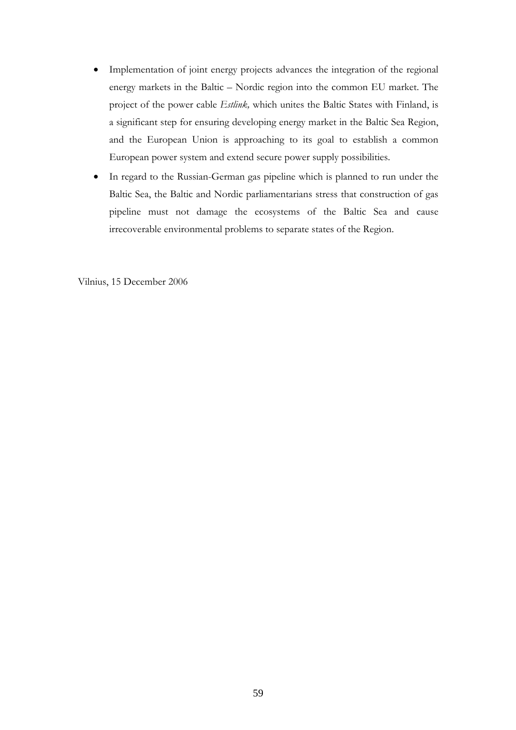- Implementation of joint energy projects advances the integration of the regional energy markets in the Baltic – Nordic region into the common EU market. The project of the power cable *Estlink,* which unites the Baltic States with Finland, is a significant step for ensuring developing energy market in the Baltic Sea Region, and the European Union is approaching to its goal to establish a common European power system and extend secure power supply possibilities.
- In regard to the Russian-German gas pipeline which is planned to run under the Baltic Sea, the Baltic and Nordic parliamentarians stress that construction of gas pipeline must not damage the ecosystems of the Baltic Sea and cause irrecoverable environmental problems to separate states of the Region.